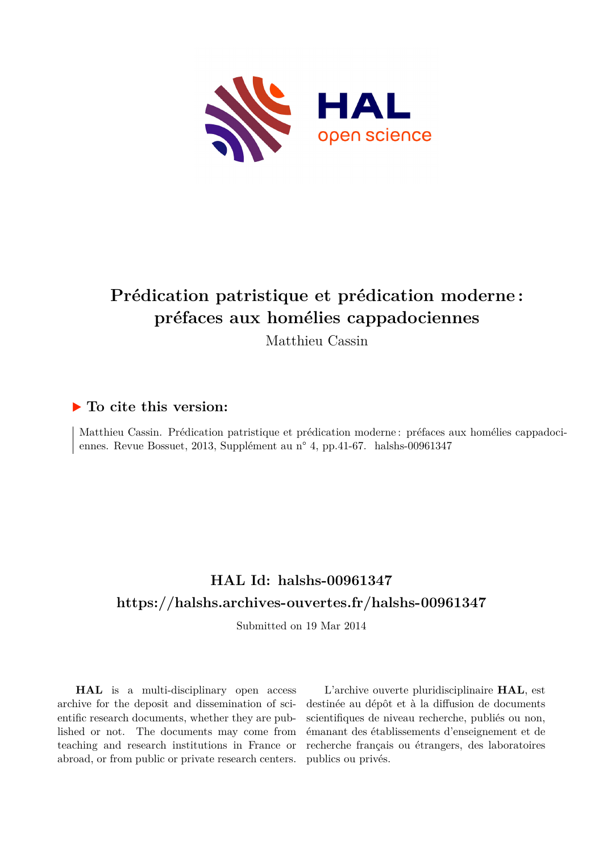

# **Prédication patristique et prédication moderne : préfaces aux homélies cappadociennes**

Matthieu Cassin

## **To cite this version:**

Matthieu Cassin. Prédication patristique et prédication moderne : préfaces aux homélies cappadociennes. Revue Bossuet, 2013, Supplément au n° 4, pp.41-67. halshs-00961347

# **HAL Id: halshs-00961347 <https://halshs.archives-ouvertes.fr/halshs-00961347>**

Submitted on 19 Mar 2014

**HAL** is a multi-disciplinary open access archive for the deposit and dissemination of scientific research documents, whether they are published or not. The documents may come from teaching and research institutions in France or abroad, or from public or private research centers.

L'archive ouverte pluridisciplinaire **HAL**, est destinée au dépôt et à la diffusion de documents scientifiques de niveau recherche, publiés ou non, émanant des établissements d'enseignement et de recherche français ou étrangers, des laboratoires publics ou privés.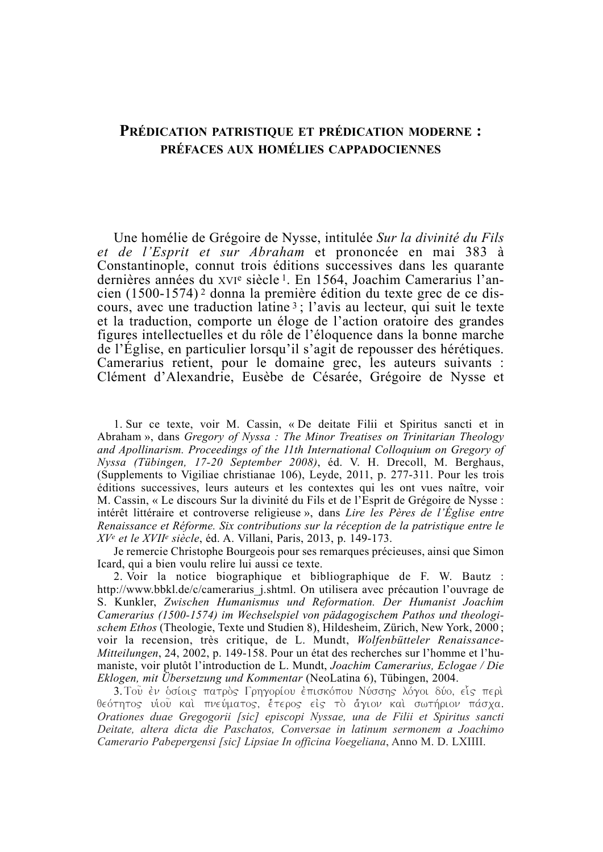### **PRÉDICATION PATRISTIQUE ET PRÉDICATION MODERNE :** PRÉFACES AUX HOMÉLIES CAPPADOCIENNES

Une homélie de Grégoire de Nysse, intitulée Sur la divinité du Fils et de l'Esprit et sur Abraham et prononcée en mai 383 à Constantinople, connut trois éditions successives dans les quarante dernières années du xvie siècle<sup>1</sup>. En 1564, Joachim Camerarius l'ancien (1500-1574)<sup>2</sup> donna la première édition du texte grec de ce discours, avec une traduction latine<sup>3</sup>; l'avis au lecteur, qui suit le texte et la traduction, comporte un éloge de l'action oratoire des grandes figures intellectuelles et du rôle de l'éloquence dans la bonne marche de l'Église, en particulier lorsqu'il s'agit de repousser des hérétiques. Camerarius retient, pour le domaine grec, les auteurs suivants : Clément d'Alexandrie, Eusèbe de Césarée, Grégoire de Nysse et

1. Sur ce texte, voir M. Cassin, « De deitate Filii et Spiritus sancti et in Abraham », dans Gregory of Nyssa : The Minor Treatises on Trinitarian Theology and Apollinarism. Proceedings of the 11th International Colloquium on Gregory of Nyssa (Tübingen, 17-20 September 2008), éd. V. H. Drecoll, M. Berghaus, (Supplements to Vigiliae christianae 106), Leyde, 2011, p. 277-311. Pour les trois éditions successives, leurs auteurs et les contextes qui les ont vues naître, voir M. Cassin, « Le discours Sur la divinité du Fils et de l'Esprit de Grégoire de Nysse : intérêt littéraire et controverse religieuse », dans Lire les Pères de l'Église entre Renaissance et Réforme. Six contributions sur la réception de la patristique entre le XV<sup>e</sup> et le XVII<sup>e</sup> siècle, éd. A. Villani, Paris, 2013, p. 149-173.

Je remercie Christophe Bourgeois pour ses remarques précieuses, ainsi que Simon Icard, qui a bien voulu relire lui aussi ce texte.

2. Voir la notice biographique et bibliographique de F. W. Bautz : http://www.bbkl.de/c/camerarius j.shtml. On utilisera avec précaution l'ouvrage de S. Kunkler, Zwischen Humanismus und Reformation. Der Humanist Joachim Camerarius (1500-1574) im Wechselspiel von pädagogischem Pathos und theologischem Ethos (Theologie, Texte und Studien 8), Hildesheim, Zürich, New York, 2000; voir la recension, très critique, de L. Mundt, Wolfenbütteler Renaissance-Mitteilungen, 24, 2002, p. 149-158. Pour un état des recherches sur l'homme et l'humaniste, voir plutôt l'introduction de L. Mundt, Joachim Camerarius, Eclogae / Die Eklogen, mit Übersetzung und Kommentar (NeoLatina 6), Tübingen, 2004.

3. Του έν δσίοις πατρός Γρηγορίου έπισκόπου Νύσσης λόγοι δύο, είς περί θεότητος υίου καί πνεύματος, έτερος είς το άγιον καί σωτήριον πάσχα. Orationes duae Gregogorii [sic] episcopi Nyssae, una de Filii et Spiritus sancti Deitate, altera dicta die Paschatos, Conversae in latinum sermonem a Joachimo Camerario Pabepergensi [sic] Lipsiae In officina Voegeliana, Anno M. D. LXIIII.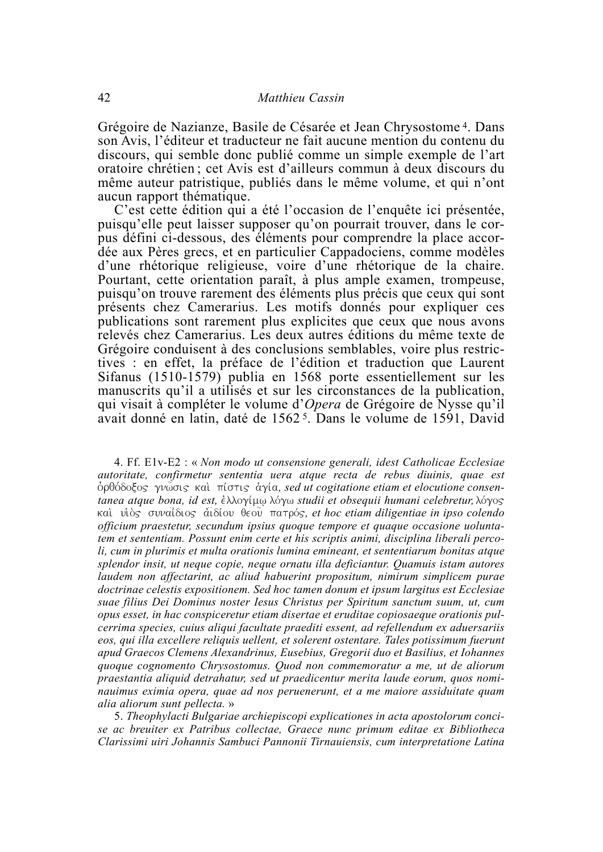Grégoire de Nazianze, Basile de Césarée et Jean Chrysostome<sup>4</sup>. Dans son Avis. l'éditeur et traducteur ne fait aucune mention du contenu du discours, qui semble donc publié comme un simple exemple de l'art oratoire chrétien; cet Avis est d'ailleurs commun à deux discours du même auteur patristique, publiés dans le même volume, et qui n'ont aucun rapport thématique.

C'est cette édition qui a été l'occasion de l'enquête ici présentée, puisqu'elle peut laisser supposer qu'on pourrait trouver, dans le corpus défini ci-dessous, des éléments pour comprendre la place accordée aux Pères grecs, et en particulier Cappadociens, comme modèles d'une rhétorique religieuse, voire d'une rhétorique de la chaire. Pourtant, cette orientation paraît, à plus ample examen, trompeuse, puisqu'on trouve rarement des éléments plus précis que ceux qui sont présents chez Camerarius. Les motifs donnés pour expliquer ces publications sont rarement plus explicites que ceux que nous avons relevés chez Camerarius. Les deux autres éditions du même texte de Grégoire conduisent à des conclusions semblables, voire plus restrictives : en effet, la préface de l'édition et traduction que Laurent Sifanus (1510-1579) publia en 1568 porte essentiellement sur les manuscrits qu'il a utilisés et sur les circonstances de la publication, qui visait à compléter le volume d'Opera de Grégoire de Nysse qu'il avait donné en latin, daté de 1562<sup>5</sup>. Dans le volume de 1591, David

4. Ff. E1v-E2 : « Non modo ut consensione generali, idest Catholicae Ecclesiae autoritate, confirmetur sententia uera atque recta de rebus diuinis, quae est δρθόδοξος γνωσις και πίστις άγία, sed ut cogitatione etiam et elocutione consentanea atque bona, id est, έλλογίμω λόγω studii et obsequii humani celebretur, λόγος και υίδς συναίδιος αιδίου θεου πατρός, et hoc etiam diligentiae in ipso colendo officium praestetur, secundum ipsius quoque tempore et quaque occasione uoluntatem et sententiam. Possunt enim certe et his scriptis animi, disciplina liberali percoli, cum in plurimis et multa orationis lumina emineant, et sententiarum bonitas atque splendor insit, ut neque copie, neque ornatu illa deficiantur. Quamuis istam autores laudem non affectarint, ac aliud habuerint propositum, nimirum simplicem purae doctrinae celestis expositionem. Sed hoc tamen donum et ipsum largitus est Ecclesiae suae filius Dei Dominus noster Iesus Christus per Spiritum sanctum suum, ut, cum opus esset, in hac conspiceretur etiam disertae et eruditae copiosaeque orationis pulcerrima species, cuius aliqui facultate praediti essent, ad refellendum ex aduersariis eos, qui illa excellere reliquis uellent, et solerent ostentare. Tales potissimum fuerunt apud Graecos Clemens Alexandrinus, Eusebius, Gregorii duo et Basilius, et Iohannes quoque cognomento Chrysostomus. Quod non commemoratur a me, ut de aliorum praestantia aliquid detrahatur, sed ut praedicentur merita laude eorum, quos nominauimus eximia opera, quae ad nos peruenerunt, et a me maiore assiduitate quam alia aliorum sunt pellecta. »

5. Theophylacti Bulgariae archiepiscopi explicationes in acta apostolorum concise ac breuiter ex Patribus collectae, Graece nunc primum editae ex Bibliotheca Clarissimi uiri Johannis Sambuci Pannonii Tirnauiensis, cum interpretatione Latina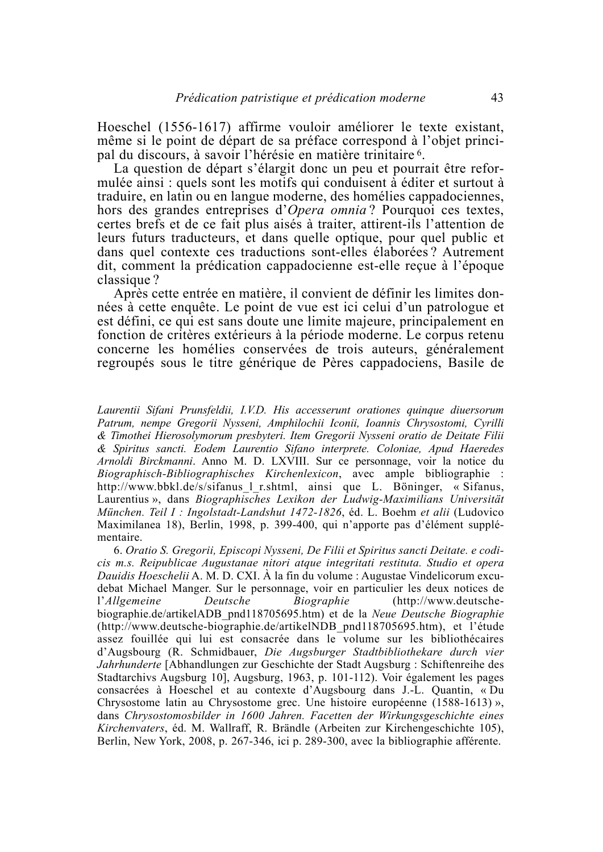Hoeschel (1556-1617) affirme vouloir améliorer le texte existant, même si le point de départ de sa préface correspond à l'objet principal du discours, à savoir l'hérésie en matière trinitaire 6.

La question de départ s'élargit donc un peu et pourrait être reformulée ainsi : quels sont les motifs qui conduisent à éditer et surtout à traduire, en latin ou en langue moderne, des homélies cappadociennes, hors des grandes entreprises d'Opera omnia? Pourquoi ces textes, certes brefs et de ce fait plus aisés à traiter, attirent-ils l'attention de leurs futurs traducteurs, et dans quelle optique, pour quel public et dans quel contexte ces traductions sont-elles élaborées? Autrement dit, comment la prédication cappadocienne est-elle reçue à l'époque classique?

Après cette entrée en matière, il convient de définir les limites données à cette enquête. Le point de vue est ici celui d'un patrologue et est défini, ce qui est sans doute une limite majeure, principalement en fonction de critères extérieurs à la période moderne. Le corpus retenu concerne les homélies conservées de trois auteurs, généralement regroupés sous le titre générique de Pères cappadociens, Basile de

Laurentii Sifani Prunsfeldii, I.V.D. His accesserunt orationes quinque diuersorum Patrum, nempe Gregorii Nysseni, Amphilochii Iconii, Ioannis Chrysostomi, Cyrilli & Timothei Hierosolymorum presbyteri. Item Gregorii Nysseni oratio de Deitate Filii & Spiritus sancti. Eodem Laurentio Sifano interprete. Coloniae, Apud Haeredes Arnoldi Birckmanni. Anno M. D. LXVIII. Sur ce personnage, voir la notice du *Biographisch-Bibliographisches Kirchenlexicon*, avec ample bibliographie : http://www.bbkl.de/s/sifanus 1 r.shtml, ainsi que L. Böninger, « Sifanus, Laurentius», dans Biographisches Lexikon der Ludwig-Maximilians Universität München. Teil I : Ingolstadt-Landshut 1472-1826, éd. L. Boehm et alii (Ludovico Maximilanea 18), Berlin, 1998, p. 399-400, qui n'apporte pas d'élément supplémentaire.

6. Oratio S. Gregorii, Episcopi Nysseni, De Filii et Spiritus sancti Deitate, e codicis m.s. Reipublicae Augustanae nitori atque integritati restituta. Studio et opera *Dauidis Hoeschelii* A. M. D. CXI. A la fin du volume : Augustae Vindelicorum excudebat Michael Manger. Sur le personnage, voir en particulier les deux notices de Biographie  $(http://www.deutsche$ l'Allgemeine Deutsche biographie.de/artikelADB pnd118705695.htm) et de la Neue Deutsche Biographie (http://www.deutsche-biographie.de/artikelNDB pnd118705695.htm), et l'étude assez fouillée qui lui est consacrée dans le volume sur les bibliothécaires d'Augsbourg (R. Schmidbauer, Die Augsburger Stadtbibliothekare durch vier *Jahrhunderte* [Abhandlungen zur Geschichte der Stadt Augsburg : Schiftenreihe des Stadtarchivs Augsburg 10], Augsburg, 1963, p. 101-112). Voir également les pages consacrées à Hoeschel et au contexte d'Augsbourg dans J.-L. Quantin, « Du Chrysostome latin au Chrysostome grec. Une histoire européenne (1588-1613) », dans Chrysostomosbilder in 1600 Jahren. Facetten der Wirkungsgeschichte eines Kirchenvaters, éd. M. Wallraff, R. Brändle (Arbeiten zur Kirchengeschichte 105), Berlin, New York, 2008, p. 267-346, ici p. 289-300, avec la bibliographie afférente.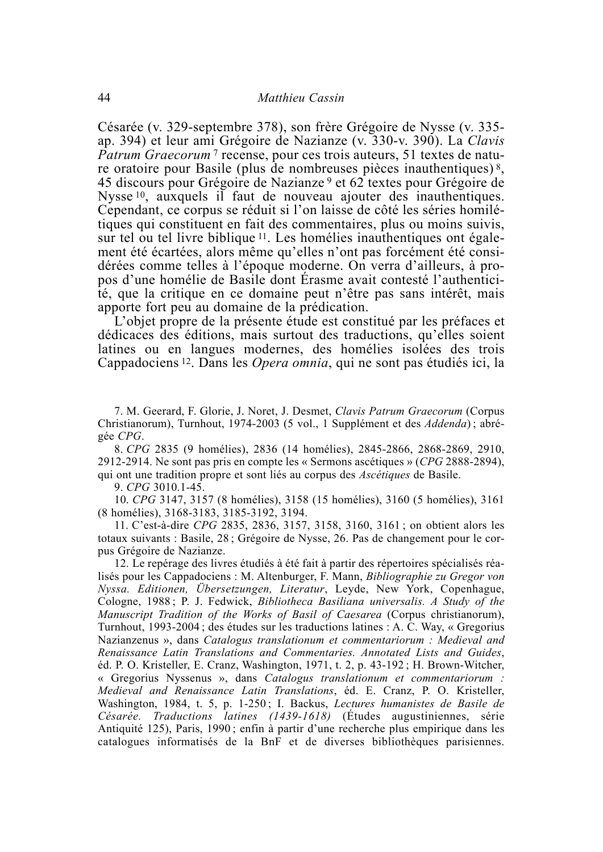Césarée (v. 329-septembre 378), son frère Grégoire de Nysse (v. 335ap. 394) et leur ami Grégoire de Nazianze (v. 330-v. 390). La Clavis *Patrum Graecorum*<sup>7</sup> recense, pour ces trois auteurs, 51 textes de nature oratoire pour Basile (plus de nombreuses pièces inauthentiques)<sup>8</sup>. 45 discours pour Grégoire de Nazianze<sup>9</sup> et 62 textes pour Grégoire de Nysse<sup>10</sup>, auxquels il faut de nouveau ajouter des inauthentiques. Cependant, ce corpus se réduit si l'on laisse de côté les séries homilétiques qui constituent en fait des commentaires, plus ou moins suivis, sur tel ou tel livre biblique <sup>11</sup>. Les homélies inauthentiques ont également été écartées, alors même qu'elles n'ont pas forcément été considérées comme telles à l'époque moderne. On verra d'ailleurs, à propos d'une homélie de Basile dont Érasme avait contesté l'authenticité, que la critique en ce domaine peut n'être pas sans intérêt, mais apporte fort peu au domaine de la prédication.

L'objet propre de la présente étude est constitué par les préfaces et dédicaces des éditions, mais surtout des traductions, qu'elles soient latines ou en langues modernes, des homélies isolées des trois Cappadociens<sup>12</sup>. Dans les *Opera omnia*, qui ne sont pas étudiés ici, la

7. M. Geerard, F. Glorie, J. Noret, J. Desmet, Clavis Patrum Graecorum (Corpus Christianorum), Turnhout, 1974-2003 (5 vol., 1 Supplément et des Addenda); abrégée CPG.

8. CPG 2835 (9 homélies), 2836 (14 homélies), 2845-2866, 2868-2869, 2910, 2912-2914. Ne sont pas pris en compte les « Sermons ascétiques » (CPG 2888-2894), qui ont une tradition propre et sont liés au corpus des Ascétiques de Basile.

9. CPG 3010.1-45.

10. CPG 3147, 3157 (8 homélies), 3158 (15 homélies), 3160 (5 homélies), 3161 (8 homélies), 3168-3183, 3185-3192, 3194.

11. C'est-à-dire CPG 2835, 2836, 3157, 3158, 3160, 3161; on obtient alors les totaux suivants : Basile, 28; Grégoire de Nysse, 26. Pas de changement pour le corpus Grégoire de Nazianze.

12. Le repérage des livres étudiés à été fait à partir des répertoires spécialisés réalisés pour les Cappadociens : M. Altenburger, F. Mann, *Bibliographie zu Gregor von* Nyssa. Editionen, Übersetzungen, Literatur, Leyde, New York, Copenhague, Cologne, 1988; P. J. Fedwick, Bibliotheca Basiliana universalis. A Study of the Manuscript Tradition of the Works of Basil of Caesarea (Corpus christianorum), Turnhout, 1993-2004; des études sur les traductions latines : A. C. Way, « Gregorius Nazianzenus », dans Catalogus translationum et commentariorum : Medieval and Renaissance Latin Translations and Commentaries. Annotated Lists and Guides, éd. P. O. Kristeller, E. Cranz, Washington, 1971, t. 2, p. 43-192; H. Brown-Witcher, « Gregorius Nyssenus », dans Catalogus translationum et commentariorum : Medieval and Renaissance Latin Translations, éd. E. Cranz, P. O. Kristeller, Washington, 1984, t. 5, p. 1-250; I. Backus, Lectures humanistes de Basile de Césarée. Traductions latines (1439-1618) (Études augustiniennes, série Antiquité 125), Paris, 1990; enfin à partir d'une recherche plus empirique dans les catalogues informatisés de la BnF et de diverses bibliothèques parisiennes.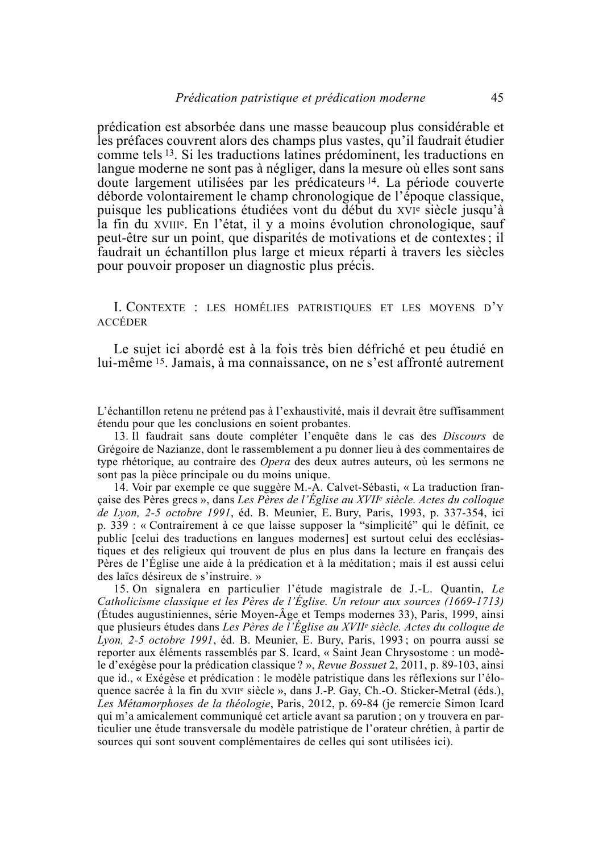prédication est absorbée dans une masse beaucoup plus considérable et les préfaces couvrent alors des champs plus vastes, qu'il faudrait étudier comme tels <sup>13</sup>. Si les traductions latines prédominent, les traductions en langue moderne ne sont pas à négliger, dans la mesure où elles sont sans doute largement utilisées par les prédicateurs<sup>14</sup>. La période couverte déborde volontairement le champ chronologique de l'époque classique, puisque les publications étudiées vont du début du XVIe siècle jusqu'à la fin du XVIII<sup>e</sup>. En l'état, il y a moins évolution chronologique, sauf peut-être sur un point, que disparités de motivations et de contextes : il faudrait un échantillon plus large et mieux réparti à travers les siècles pour pouvoir proposer un diagnostic plus précis.

I. CONTEXTE : LES HOMÉLIES PATRISTIQUES ET LES MOYENS D'Y **ACCÉDER** 

Le sujet ici abordé est à la fois très bien défriché et peu étudié en lui-même <sup>15</sup>. Jamais, à ma connaissance, on ne s'est affronté autrement

L'échantillon retenu ne prétend pas à l'exhaustivité, mais il devrait être suffisamment étendu pour que les conclusions en soient probantes.

13. Il faudrait sans doute compléter l'enquête dans le cas des Discours de Grégoire de Nazianze, dont le rassemblement a pu donner lieu à des commentaires de type rhétorique, au contraire des *Opera* des deux autres auteurs, où les sermons ne sont pas la pièce principale ou du moins unique.

14. Voir par exemple ce que suggère M.-A. Calvet-Sébasti, « La traduction française des Pères grecs », dans Les Pères de l'Église au XVII<sup>e</sup> siècle. Actes du colloque de Lyon, 2-5 octobre 1991, éd. B. Meunier, E. Bury, Paris, 1993, p. 337-354, ici p. 339 : « Contrairement à ce que laisse supposer la "simplicité" qui le définit, ce public [celui des traductions en langues modernes] est surtout celui des ecclésiastiques et des religieux qui trouvent de plus en plus dans la lecture en français des Pères de l'Église une aide à la prédication et à la méditation; mais il est aussi celui des laïcs désireux de s'instruire. »

15. On signalera en particulier l'étude magistrale de J.-L. Quantin, Le Catholicisme classique et les Pères de l'Église. Un retour aux sources (1669-1713) (Études augustiniennes, série Moyen-Âge et Temps modernes 33), Paris, 1999, ainsi que plusieurs études dans Les Pères de l'Église au XVII<sup>e</sup> siècle. Actes du colloque de Lyon, 2-5 octobre 1991, éd. B. Meunier, E. Bury, Paris, 1993; on pourra aussi se reporter aux éléments rassemblés par S. Icard, « Saint Jean Chrysostome : un modèle d'exégèse pour la prédication classique ? », Revue Bossuet 2, 2011, p. 89-103, ainsi que id., « Exégèse et prédication : le modèle patristique dans les réflexions sur l'éloquence sacrée à la fin du XVII<sup>e</sup> siècle », dans J.-P. Gay, Ch.-O. Sticker-Metral (éds.), Les Métamorphoses de la théologie, Paris, 2012, p. 69-84 (je remercie Simon Icard qui m'a amicalement communiqué cet article avant sa parution : on y trouvera en particulier une étude transversale du modèle patristique de l'orateur chrétien, à partir de sources qui sont souvent complémentaires de celles qui sont utilisées ici).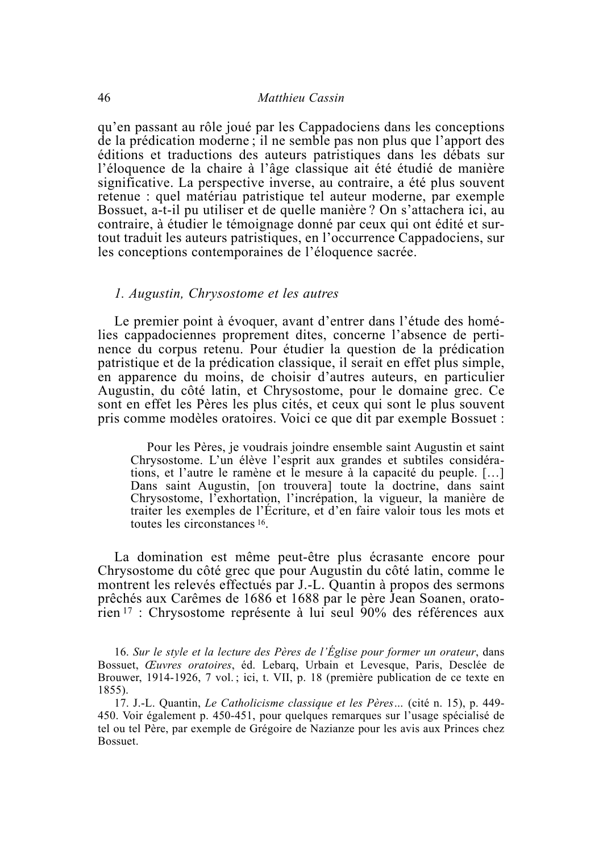qu'en passant au rôle joué par les Cappadociens dans les conceptions de la prédication moderne; il ne semble pas non plus que l'apport des éditions et traductions des auteurs patristiques dans les débats sur l'éloquence de la chaire à l'âge classique ait été étudié de manière significative. La perspective inverse, au contraire, a été plus souvent retenue : quel matériau patristique tel auteur moderne, par exemple Bossuet, a-t-il pu utiliser et de quelle manière ? On s'attachera ici, au contraire, à étudier le témoignage donné par ceux qui ont édité et surtout traduit les auteurs patristiques, en l'occurrence Cappadociens, sur les conceptions contemporaines de l'éloquence sacrée.

#### 1. Augustin, Chrysostome et les autres

Le premier point à évoquer, avant d'entrer dans l'étude des homélies cappadociennes proprement dites, concerne l'absence de pertinence du corpus retenu. Pour étudier la question de la prédication patristique et de la prédication classique, il serait en effet plus simple, en apparence du moins, de choisir d'autres auteurs, en particulier Augustin, du côté latin, et Chrysostome, pour le domaine grec. Ce sont en effet les Pères les plus cités, et ceux qui sont le plus souvent pris comme modèles oratoires. Voici ce que dit par exemple Bossuet :

Pour les Pères, je voudrais joindre ensemble saint Augustin et saint Chrysostome. L'un élève l'esprit aux grandes et subtiles considérations, et l'autre le ramène et le mesure à la capacité du peuple. [...] Dans saint Augustin, [on trouvera] toute la doctrine, dans saint Chrysostome, l'exhortation, l'incrépation, la vigueur, la manière de traiter les exemples de l'Écriture, et d'en faire valoir tous les mots et toutes les circonstances 16.

La domination est même peut-être plus écrasante encore pour Chrysostome du côté grec que pour Augustin du côté latin, comme le montrent les relevés effectués par J.-L. Quantin à propos des sermons prêchés aux Carêmes de 1686 et 1688 par le père Jean Soanen, oratorien <sup>17</sup> : Chrysostome représente à lui seul 90% des références aux

16. Sur le style et la lecture des Pères de l'Église pour former un orateur, dans Bossuet, Œuvres oratoires, éd. Lebarq, Urbain et Levesque, Paris, Desclée de Brouwer, 1914-1926, 7 vol.; ici, t. VII, p. 18 (première publication de ce texte en  $1855$ ).

17. J.-L. Quantin, Le Catholicisme classique et les Pères... (cité n. 15), p. 449-450. Voir également p. 450-451, pour quelques remarques sur l'usage spécialisé de tel ou tel Père, par exemple de Grégoire de Nazianze pour les avis aux Princes chez Bossuet.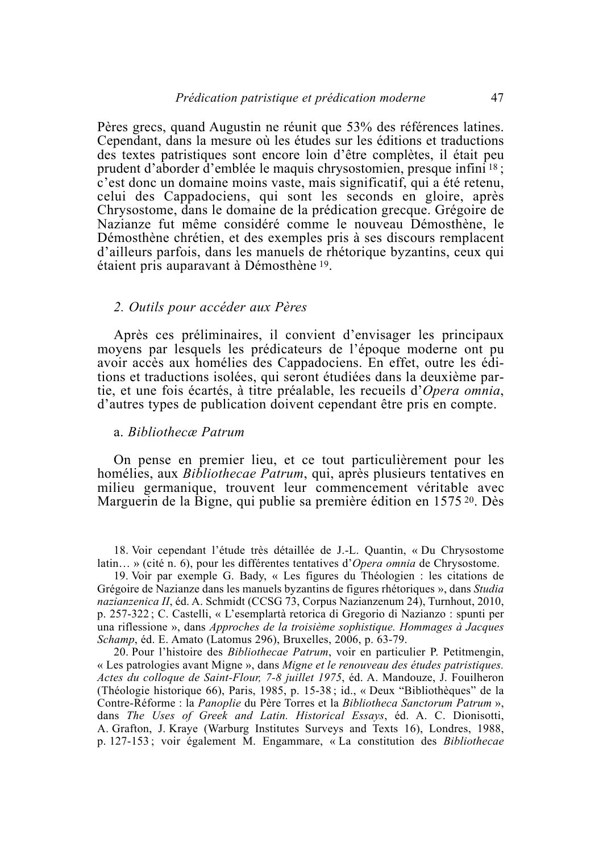Pères grecs, quand Augustin ne réunit que 53% des références latines. Cependant, dans la mesure où les études sur les éditions et traductions des textes patristiques sont encore loin d'être complètes, il était peu prudent d'aborder d'emblée le maquis chrysostomien, presque infini<sup>18</sup>; c'est donc un domaine moins vaste, mais significatif, qui a été retenu. celui des Cappadociens, qui sont les seconds en gloire, après Chrysostome, dans le domaine de la prédication grecque. Grégoire de Nazianze fut même considéré comme le nouveau Démosthène, le Démosthène chrétien, et des exemples pris à ses discours remplacent d'ailleurs parfois, dans les manuels de rhétorique byzantins, ceux qui étaient pris auparavant à Démosthène 19.

#### 2. Outils pour accéder aux Pères

Après ces préliminaires, il convient d'envisager les principaux moyens par lesquels les prédicateurs de l'époque moderne ont pu avoir accès aux homélies des Cappadociens. En effet, outre les éditions et traductions isolées, qui seront étudiées dans la deuxième partie, et une fois écartés, à titre préalable, les recueils d'Opera omnia, d'autres types de publication doivent cependant être pris en compte.

#### a. Bibliotheca Patrum

On pense en premier lieu, et ce tout particulièrement pour les homélies, aux *Bibliothecae Patrum*, qui, après plusieurs tentatives en milieu germanique, trouvent leur commencement véritable avec Marguerin de la Bigne, qui publie sa première édition en 1575 <sup>20</sup>. Dès

18. Voir cependant l'étude très détaillée de J.-L. Quantin, « Du Chrysostome latin... » (cité n. 6), pour les différentes tentatives d'Opera omnia de Chrysostome.

19. Voir par exemple G. Bady, « Les figures du Théologien : les citations de Grégoire de Nazianze dans les manuels byzantins de figures rhétoriques », dans Studia *nazianzenica II*, éd. A. Schmidt (CCSG 73, Corpus Nazianzenum 24), Turnhout, 2010, p. 257-322; C. Castelli, « L'esemplartà retorica di Gregorio di Nazianzo : spunti per una riflessione », dans *Approches de la troisième sophistique*. Hommages à Jacques Schamp, éd. E. Amato (Latomus 296), Bruxelles, 2006, p. 63-79.

20. Pour l'histoire des *Bibliothecae Patrum*, voir en particulier P. Petitmengin, « Les patrologies avant Migne », dans Migne et le renouveau des études patristiques. Actes du colloque de Saint-Flour, 7-8 juillet 1975, éd. A. Mandouze, J. Fouilheron (Théologie historique 66), Paris, 1985, p. 15-38; id., « Deux "Bibliothèques" de la Contre-Réforme : la Panoplie du Père Torres et la Bibliotheca Sanctorum Patrum ». dans The Uses of Greek and Latin. Historical Essays, éd. A. C. Dionisotti, A. Grafton, J. Kraye (Warburg Institutes Surveys and Texts 16), Londres, 1988, p. 127-153; voir également M. Engammare, « La constitution des *Bibliothecae*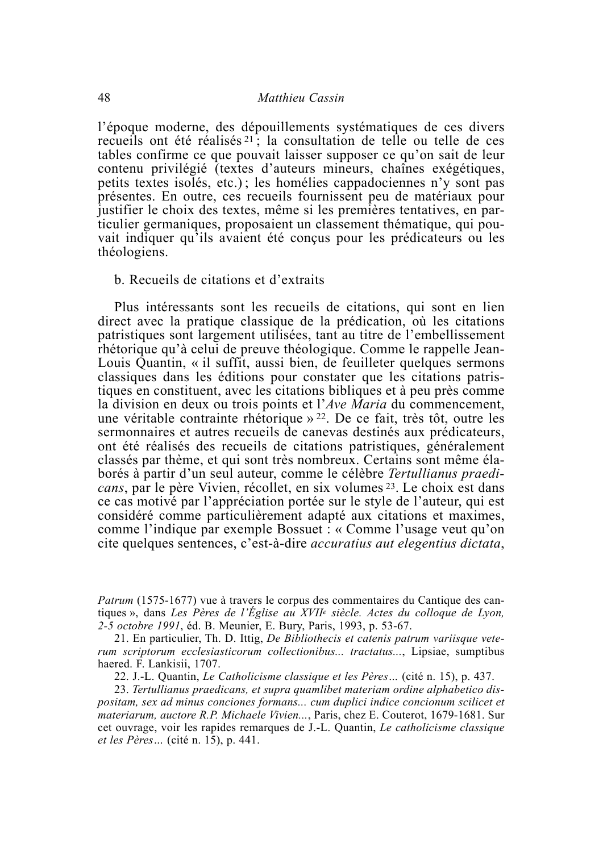l'époque moderne, des dépouillements systématiques de ces divers recueils ont été réalisés<sup>21</sup>; la consultation de telle ou telle de ces tables confirme ce que pouvait laisser supposer ce qu'on sait de leur contenu privilégié (textes d'auteurs mineurs, chaînes exégétiques, petits textes isolés, etc.); les homélies cappadociennes n'y sont pas présentes. En outre, ces recueils fournissent peu de matériaux pour justifier le choix des textes, même si les premières tentatives, en particulier germaniques, proposaient un classement thématique, qui pouvait indiquer qu'ils avaient été conçus pour les prédicateurs ou les théologiens.

#### b. Recueils de citations et d'extraits

Plus intéressants sont les recueils de citations, qui sont en lien direct avec la pratique classique de la prédication, où les citations patristiques sont largement utilisées, tant au titre de l'embellissement rhétorique qu'à celui de preuve théologique. Comme le rappelle Jean-Louis Quantin, « il suffit, aussi bien, de feuilleter quelques sermons classiques dans les éditions pour constater que les citations patristiques en constituent, avec les citations bibliques et à peu près comme la division en deux ou trois points et l'Ave Maria du commencement. une véritable contrainte rhétorique  $\frac{1}{2}$ . De ce fait, très tôt, outre les sermonnaires et autres recueils de canevas destinés aux prédicateurs, ont été réalisés des recueils de citations patristiques, généralement classés par thème, et qui sont très nombreux. Certains sont même élaborés à partir d'un seul auteur, comme le célèbre Tertullianus praedicans, par le père Vivien, récollet, en six volumes <sup>23</sup>. Le choix est dans ce cas motivé par l'appréciation portée sur le style de l'auteur, qui est considéré comme particulièrement adapté aux citations et maximes. comme l'indique par exemple Bossuet : « Comme l'usage veut qu'on cite quelques sentences, c'est-à-dire *accuratius aut elegentius dictata*,

23. Tertullianus praedicans, et supra quamlibet materiam ordine alphabetico dispositam, sex ad minus conciones formans... cum duplici indice concionum scilicet et materiarum, auctore R.P. Michaele Vivien..., Paris, chez E. Couterot, 1679-1681. Sur cet ouvrage, voir les rapides remarques de J.-L. Quantin, *Le catholicisme classique et les Pères...* (cité n. 15), p. 441.

*Patrum* (1575-1677) vue à travers le corpus des commentaires du Cantique des cantiques », dans Les Pères de l'Église au XVII<sup>e</sup> siècle. Actes du colloque de Lyon, 2-5 octobre 1991, éd. B. Meunier, E. Bury, Paris, 1993, p. 53-67.

<sup>21.</sup> En particulier, Th. D. Ittig, De Bibliothecis et catenis patrum variisque veterum scriptorum ecclesiasticorum collectionibus... tractatus..., Lipsiae, sumptibus haered. F. Lankisii, 1707.

<sup>22.</sup> J.-L. Quantin, Le Catholicisme classique et les Pères... (cité n. 15), p. 437.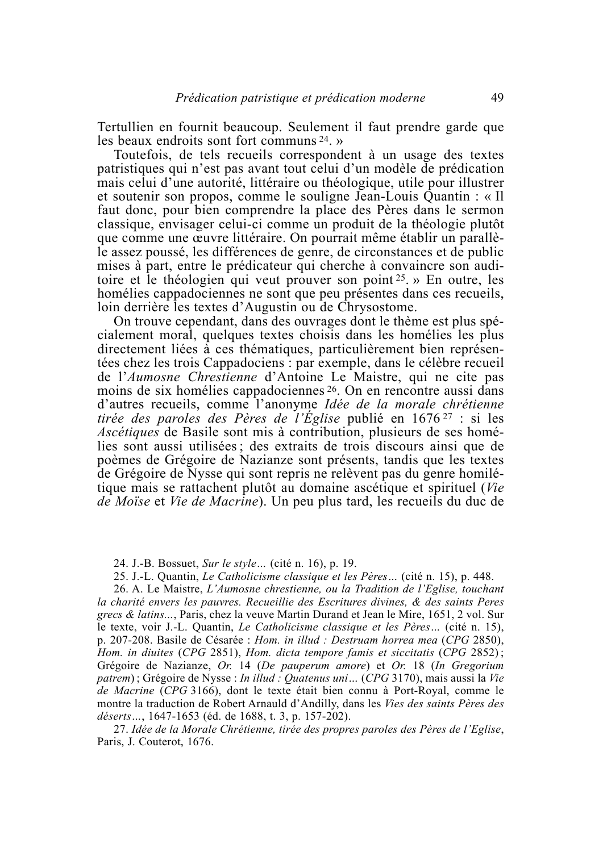Tertullien en fournit beaucoup. Seulement il faut prendre garde que les beaux endroits sont fort communs  $24.$  »

Toutefois, de tels recueils correspondent à un usage des textes patristiques qui n'est pas avant tout celui d'un modèle de prédication mais celui d'une autorité, littéraire ou théologique, utile pour illustrer et soutenir son propos, comme le souligne Jean-Louis Quantin : « Il faut donc, pour bien comprendre la place des Pères dans le sermon classique, envisager celui-ci comme un produit de la théologie plutôt que comme une œuvre littéraire. On pourrait même établir un parallèle assez poussé, les différences de genre, de circonstances et de public mises à part, entre le prédicateur qui cherche à convaincre son auditoire et le théologien qui veut prouver son point  $25$ . » En outre, les homélies cappadociennes ne sont que peu présentes dans ces recueils, loin derrière les textes d'Augustin ou de Chrysostome.

On trouve cependant, dans des ouvrages dont le thème est plus spécialement moral, quelques textes choisis dans les homélies les plus directement liées à ces thématiques, particulièrement bien représentées chez les trois Cappadociens : par exemple, dans le célèbre recueil de l'Aumosne Chrestienne d'Antoine Le Maistre, qui ne cite pas moins de six homélies cappadociennes 26. On en rencontre aussi dans d'autres recueils, comme l'anonyme Idée de la morale chrétienne tirée des paroles des Pères de l'Église publié en 1676<sup>27</sup> : si les *Ascétiques* de Basile sont mis à contribution, plusieurs de ses homélies sont aussi utilisées; des extraits de trois discours ainsi que de poèmes de Grégoire de Nazianze sont présents, tandis que les textes de Grégoire de Nysse qui sont repris ne relèvent pas du genre homilétique mais se rattachent plutôt au domaine ascétique et spirituel (Vie de Moise et Vie de Macrine). Un peu plus tard, les recueils du duc de

24. J.-B. Bossuet, Sur le style... (cité n. 16), p. 19.

25. J.-L. Quantin, Le Catholicisme classique et les Pères... (cité n. 15), p. 448.

26. A. Le Maistre, L'Aumosne chrestienne, ou la Tradition de l'Eglise, touchant la charité envers les pauvres. Recueillie des Escritures divines, & des saints Peres grecs & latins..., Paris, chez la veuve Martin Durand et Jean le Mire, 1651, 2 vol. Sur le texte, voir J.-L. Quantin, Le Catholicisme classique et les Pères... (cité n. 15), p. 207-208. Basile de Césarée : Hom. in illud : Destruam horrea mea (CPG 2850), Hom. in diuites (CPG 2851), Hom. dicta tempore famis et siccitatis (CPG 2852); Grégoire de Nazianze, Or. 14 (De pauperum amore) et Or. 18 (In Gregorium patrem); Grégoire de Nysse : In illud : Quatenus uni... (CPG 3170), mais aussi la Vie de Macrine (CPG 3166), dont le texte était bien connu à Port-Royal, comme le montre la traduction de Robert Arnauld d'Andilly, dans les Vies des saints Pères des déserts..., 1647-1653 (éd. de 1688, t. 3, p. 157-202).

27. Idée de la Morale Chrétienne, tirée des propres paroles des Pères de l'Eglise, Paris, J. Couterot, 1676.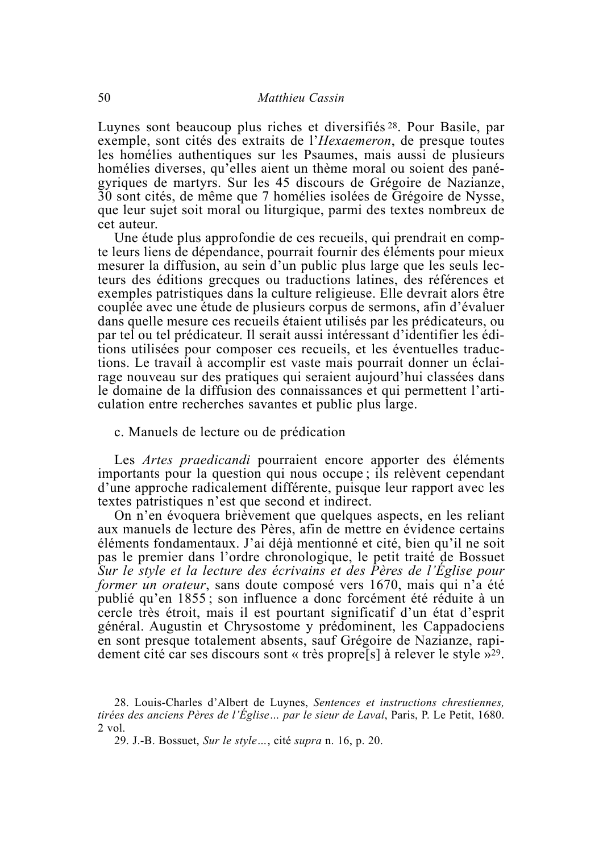Luynes sont beaucoup plus riches et diversifiés <sup>28</sup>. Pour Basile, par exemple, sont cités des extraits de l'Hexaemeron, de presque toutes les homélies authentiques sur les Psaumes, mais aussi de plusieurs homélies diverses, qu'elles aient un thème moral ou soient des panégyriques de martyrs. Sur les 45 discours de Grégoire de Nazianze, 30 sont cités, de même que 7 homélies isolées de Grégoire de Nysse, que leur sujet soit moral ou liturgique, parmi des textes nombreux de cet auteur.

Une étude plus approfondie de ces recueils, qui prendrait en compte leurs liens de dépendance, pourrait fournir des éléments pour mieux mesurer la diffusion, au sein d'un public plus large que les seuls lecteurs des éditions grecques ou traductions latines, des références et exemples patristiques dans la culture religieuse. Elle devrait alors être couplée avec une étude de plusieurs corpus de sermons, afin d'évaluer dans quelle mesure ces recueils étaient utilisés par les prédicateurs, ou par tel ou tel prédicateur. Il serait aussi intéressant d'identifier les éditions utilisées pour composer ces recueils, et les éventuelles traductions. Le travail à accomplir est vaste mais pourrait donner un éclairage nouveau sur des pratiques qui seraient aujourd'hui classées dans le domaine de la diffusion des connaissances et qui permettent l'articulation entre recherches savantes et public plus large.

c. Manuels de lecture ou de prédication

Les Artes praedicandi pourraient encore apporter des éléments importants pour la question qui nous occupe ; ils relèvent cependant d'une approche radicalement différente, puisque leur rapport avec les textes patristiques n'est que second et indirect.

On n'en évoquera brièvement que quelques aspects, en les reliant aux manuels de lecture des Pères, afin de mettre en évidence certains éléments fondamentaux. J'ai déjà mentionné et cité, bien qu'il ne soit pas le premier dans l'ordre chronologique, le petit traité de Bossuet Sur le style et la lecture des écrivains et des Pères de l'Église pour *former un orateur*, sans doute composé vers 1670, mais qui n'a été publié qu'en 1855; son influence a donc forcément été réduite à un cercle très étroit, mais il est pourtant significatif d'un état d'esprit général. Augustin et Chrysostome y prédominent, les Cappadociens en sont presque totalement absents, sauf Grégoire de Nazianze, rapidement cité car ses discours sont « très propression à relever le style »<sup>29</sup>.

29. J.-B. Bossuet, Sur le style..., cité supra n. 16, p. 20.

<sup>28.</sup> Louis-Charles d'Albert de Luynes, Sentences et instructions chrestiennes, tirées des anciens Pères de l'Église... par le sieur de Laval, Paris, P. Le Petit, 1680.  $2$  vol.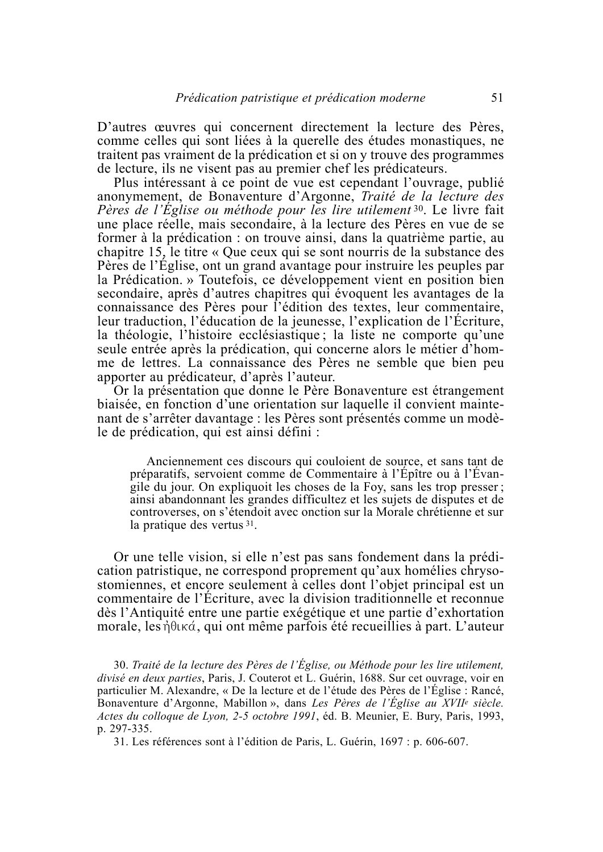D'autres œuvres qui concernent directement la lecture des Pères, comme celles qui sont liées à la querelle des études monastiques, ne traitent pas vraiment de la prédication et si on y trouve des programmes de lecture, ils ne visent pas au premier chef les prédicateurs.

Plus intéressant à ce point de vue est cependant l'ouvrage, publié anonymement, de Bonaventure d'Argonne, Traité de la lecture des Pères de l'Église ou méthode pour les lire utilement<sup>30</sup>. Le livre fait une place réelle, mais secondaire, à la lecture des Pères en vue de se former à la prédication : on trouve ainsi, dans la quatrième partie, au chapitre 15, le titre « Que ceux qui se sont nourris de la substance des Pères de l'Église, ont un grand avantage pour instruire les peuples par la Prédication. » Toutefois, ce développement vient en position bien secondaire, après d'autres chapitres qui évoquent les avantages de la connaissance des Pères pour l'édition des textes, leur commentaire, leur traduction, l'éducation de la jeunesse, l'explication de l'Ecriture, la théologie, l'histoire ecclésiastique; la liste ne comporte qu'une seule entrée après la prédication, qui concerne alors le métier d'homme de lettres. La connaissance des Pères ne semble que bien peu apporter au prédicateur, d'après l'auteur.

Or la présentation que donne le Père Bonaventure est étrangement biaisée, en fonction d'une orientation sur laquelle il convient maintenant de s'arrêter davantage : les Pères sont présentés comme un modèle de prédication, qui est ainsi défini :

Anciennement ces discours qui couloient de source, et sans tant de préparatifs, servoient comme de Commentaire à l'Épître ou à l'Évangile du jour. On expliquoit les choses de la Foy, sans les trop presser; ainsi abandonnant les grandes difficultez et les sujets de disputes et de controverses, on s'étendoit avec onction sur la Morale chrétienne et sur la pratique des vertus 31.

Or une telle vision, si elle n'est pas sans fondement dans la prédication patristique, ne correspond proprement qu'aux homélies chrysostomiennes, et encore seulement à celles dont l'objet principal est un commentaire de l'Écriture, avec la division traditionnelle et reconnue dès l'Antiquité entre une partie exégétique et une partie d'exhortation morale, les nouveles qui ont même parfois été recueillies à part. L'auteur

30. Traité de la lecture des Pères de l'Église, ou Méthode pour les lire utilement, divisé en deux parties, Paris, J. Couterot et L. Guérin, 1688. Sur cet ouvrage, voir en particulier M. Alexandre, « De la lecture et de l'étude des Pères de l'Église : Rancé, Bonaventure d'Argonne, Mabillon », dans Les Pères de l'Église au XVIIe siècle. Actes du colloque de Lyon, 2-5 octobre 1991, éd. B. Meunier, E. Bury, Paris, 1993, p. 297-335.

31. Les références sont à l'édition de Paris, L. Guérin, 1697 : p. 606-607.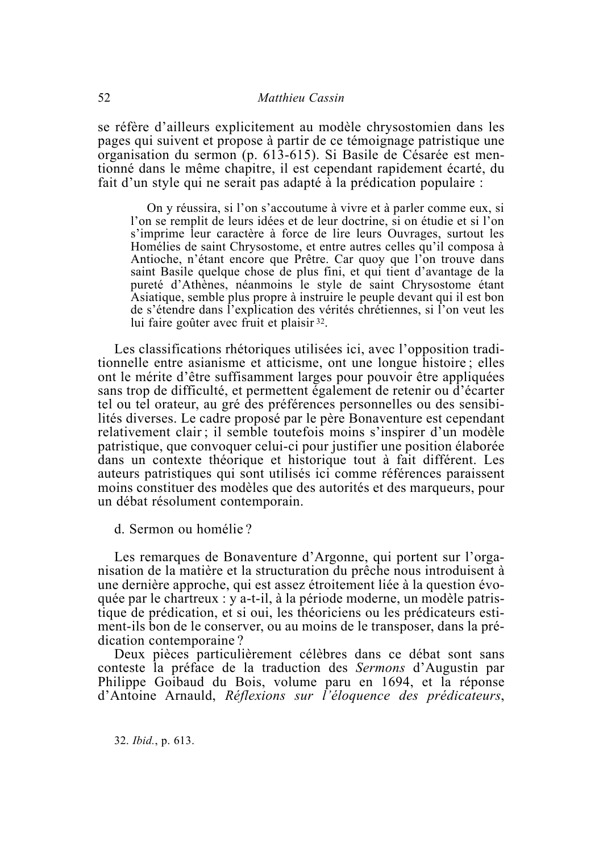se réfère d'ailleurs explicitement au modèle chrysostomien dans les pages qui suivent et propose à partir de ce témoignage patristique une organisation du sermon (p. 613-615). Si Basile de Césarée est mentionné dans le même chapitre, il est cependant rapidement écarté, du fait d'un style qui ne serait pas adapté à la prédication populaire :

On y réussira, si l'on s'accoutume à vivre et à parler comme eux, si l'on se remplit de leurs idées et de leur doctrine, si on étudie et si l'on s'imprime leur caractère à force de lire leurs Ouvrages, surtout les Homélies de saint Chrysostome, et entre autres celles qu'il composa à Antioche, n'étant encore que Prêtre. Car quoy que l'on trouve dans saint Basile quelque chose de plus fini, et qui tient d'avantage de la pureté d'Athènes, néanmoins le style de saint Chrysostome étant Asiatique, semble plus propre à instruire le peuple devant qui il est bon de s'étendre dans l'explication des vérités chrétiennes, si l'on veut les lui faire goûter avec fruit et plaisir 32.

Les classifications rhétoriques utilisées ici, avec l'opposition traditionnelle entre asianisme et atticisme, ont une longue histoire; elles ont le mérite d'être suffisamment larges pour pouvoir être appliquées sans trop de difficulté, et permettent également de retenir ou d'écarter tel ou tel orateur, au gré des préférences personnelles ou des sensibilités diverses. Le cadre proposé par le père Bonaventure est cependant relativement clair; il semble toutefois moins s'inspirer d'un modèle patristique, que convoquer celui-ci pour justifier une position élaborée dans un contexte théorique et historique tout à fait différent. Les auteurs patristiques qui sont utilisés ici comme références paraissent moins constituer des modèles que des autorités et des marqueurs, pour un débat résolument contemporain.

d. Sermon ou homélie?

Les remarques de Bonaventure d'Argonne, qui portent sur l'organisation de la matière et la structuration du prêche nous introduisent à une dernière approche, qui est assez étroitement liée à la question évoquée par le chartreux : y a-t-il, à la période moderne, un modèle patristique de prédication, et si oui, les théoriciens ou les prédicateurs estiment-ils bon de le conserver, ou au moins de le transposer, dans la prédication contemporaine?

Deux pièces particulièrement célèbres dans ce débat sont sans conteste la préface de la traduction des Sermons d'Augustin par Philippe Goibaud du Bois, volume paru en 1694, et la réponse d'Antoine Arnauld, Réflexions sur l'éloquence des prédicateurs,

32. *Ibid.*, p. 613.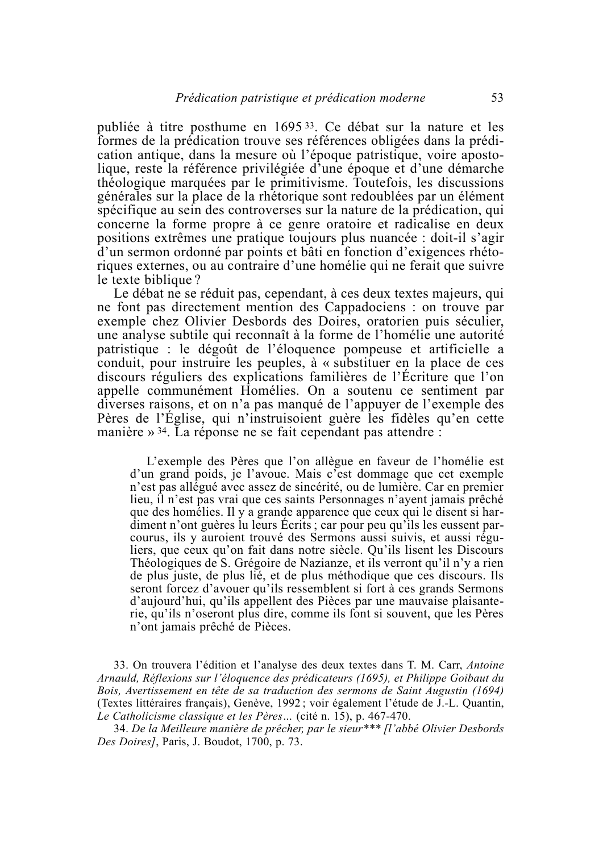publiée à titre posthume en 1695<sup>33</sup>. Ce débat sur la nature et les formes de la prédication trouve ses références obligées dans la prédication antique, dans la mesure où l'époque patristique, voire apostolique, reste la référence privilégiée d'une époque et d'une démarche théologique marquées par le primitivisme. Toutefois, les discussions générales sur la place de la rhétorique sont redoublées par un élément spécifique au sein des controverses sur la nature de la prédication, qui concerne la forme propre à ce genre oratoire et radicalise en deux positions extrêmes une pratique toujours plus nuancée : doit-il s'agir d'un sermon ordonné par points et bâti en fonction d'exigences rhétoriques externes, ou au contraire d'une homélie qui ne ferait que suivre le texte biblique?

Le débat ne se réduit pas, cependant, à ces deux textes majeurs, qui ne font pas directement mention des Cappadociens : on trouve par exemple chez Olivier Desbords des Doires, oratorien puis séculier, une analyse subtile qui reconnaît à la forme de l'homélie une autorité patristique : le dégoût de l'éloquence pompeuse et artificielle a conduit, pour instruire les peuples, à « substituer en la place de ces discours réguliers des explications familières de l'Écriture que l'on appelle communément Homélies. On a soutenu ce sentiment par diverses raisons, et on n'a pas manqué de l'appuyer de l'exemple des Pères de l'Église, qui n'instruisoient guère les fidèles qu'en cette manière » 34. La réponse ne se fait cependant pas attendre :

L'exemple des Pères que l'on allègue en faveur de l'homélie est d'un grand poids, je l'avoue. Mais c'est dommage que cet exemple n'est pas allégué avec assez de sincérité, ou de lumière. Car en premier lieu, il n'est pas vrai que ces saints Personnages n'ayent jamais prêché que des homélies. Il y a grande apparence que ceux qui le disent si hardiment n'ont guères lu leurs Écrits; car pour peu qu'ils les eussent parcourus, ils y auroient trouvé des Sermons aussi suivis, et aussi réguliers, que ceux qu'on fait dans notre siècle. Qu'ils lisent les Discours Théologiques de S. Grégoire de Nazianze, et ils verront qu'il n'y a rien de plus juste, de plus lié, et de plus méthodique que ces discours. Ils seront forcez d'avouer qu'ils ressemblent si fort à ces grands Sermons d'aujourd'hui, qu'ils appellent des Pièces par une mauvaise plaisanterie, qu'ils n'oseront plus dire, comme ils font si souvent, que les Pères n'ont jamais prêché de Pièces.

33. On trouvera l'édition et l'analyse des deux textes dans T. M. Carr, Antoine Arnauld, Réflexions sur l'éloquence des prédicateurs (1695), et Philippe Goibaut du Bois, Avertissement en tête de sa traduction des sermons de Saint Augustin (1694) (Textes littéraires français), Genève, 1992; voir également l'étude de J.-L. Quantin, Le Catholicisme classique et les Pères... (cité n. 15), p. 467-470.

34. De la Meilleure manière de prêcher, par le sieur\*\*\* [l'abbé Olivier Desbords Des Doires], Paris, J. Boudot, 1700, p. 73.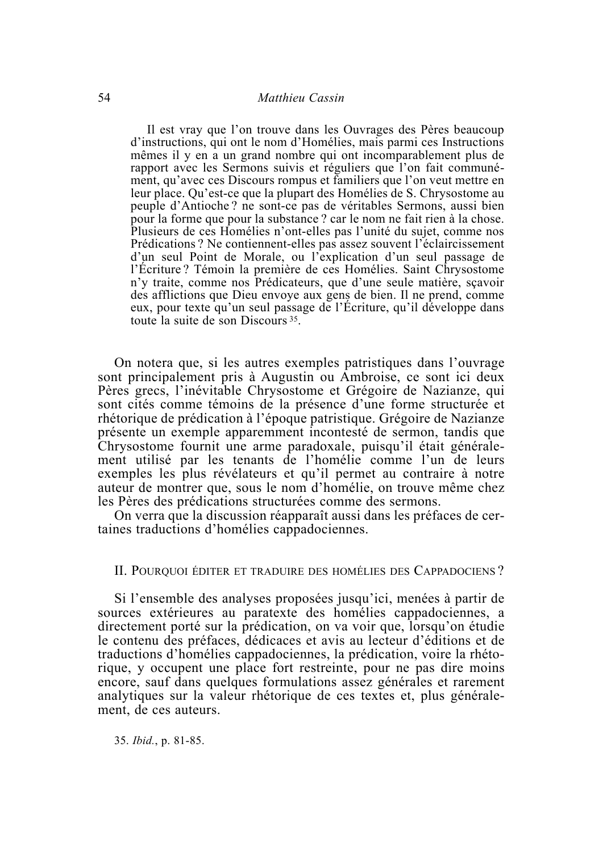Il est vray que l'on trouve dans les Ouvrages des Pères beaucoup d'instructions, qui ont le nom d'Homélies, mais parmi ces Instructions mêmes il y en a un grand nombre qui ont incomparablement plus de rapport avec les Sermons suivis et réguliers que l'on fait communément, qu'avec ces Discours rompus et familiers que l'on veut mettre en leur place. Qu'est-ce que la plupart des Homélies de S. Chrysostome au peuple d'Antioche? ne sont-ce pas de véritables Sermons, aussi bien pour la forme que pour la substance ? car le nom ne fait rien à la chose. Plusieurs de ces Homélies n'ont-elles pas l'unité du sujet, comme nos Prédications? Ne contiennent-elles pas assez souvent l'éclaircissement d'un seul Point de Morale, ou l'explication d'un seul passage de l'Ecriture? Témoin la première de ces Homélies. Saint Chrysostome n'y traite, comme nos Prédicateurs, que d'une seule matière, scavoir des afflictions que Dieu envoye aux gens de bien. Il ne prend, comme eux, pour texte qu'un seul passage de l'Écriture, qu'il développe dans toute la suite de son Discours<sup>35</sup>.

On notera que, si les autres exemples patristiques dans l'ouvrage sont principalement pris à Augustin ou Ambroise, ce sont ici deux Pères grecs, l'inévitable Chrysostome et Grégoire de Nazianze, qui sont cités comme témoins de la présence d'une forme structurée et rhétorique de prédication à l'époque patristique. Grégoire de Nazianze présente un exemple apparemment incontesté de sermon, tandis que Chrysostome fournit une arme paradoxale, puisqu'il était généralement utilisé par les tenants de l'homélie comme l'un de leurs exemples les plus révélateurs et qu'il permet au contraire à notre auteur de montrer que, sous le nom d'homélie, on trouve même chez les Pères des prédications structurées comme des sermons.

On verra que la discussion réapparaît aussi dans les préfaces de certaines traductions d'homélies cappadociennes.

#### IL POUROUOLÉDITER ET TRADUIRE DES HOMÉLIES DES CAPPADOCIENS?

Si l'ensemble des analyses proposées jusqu'ici, menées à partir de sources extérieures au paratexte des homélies cappadociennes, a directement porté sur la prédication, on va voir que, lorsqu'on étudie le contenu des préfaces, dédicaces et avis au lecteur d'éditions et de traductions d'homélies cappadociennes, la prédication, voire la rhétorique, y occupent une place fort restreinte, pour ne pas dire moins encore, sauf dans quelques formulations assez générales et rarement analytiques sur la valeur rhétorique de ces textes et, plus généralement, de ces auteurs.

35. Ibid., p. 81-85.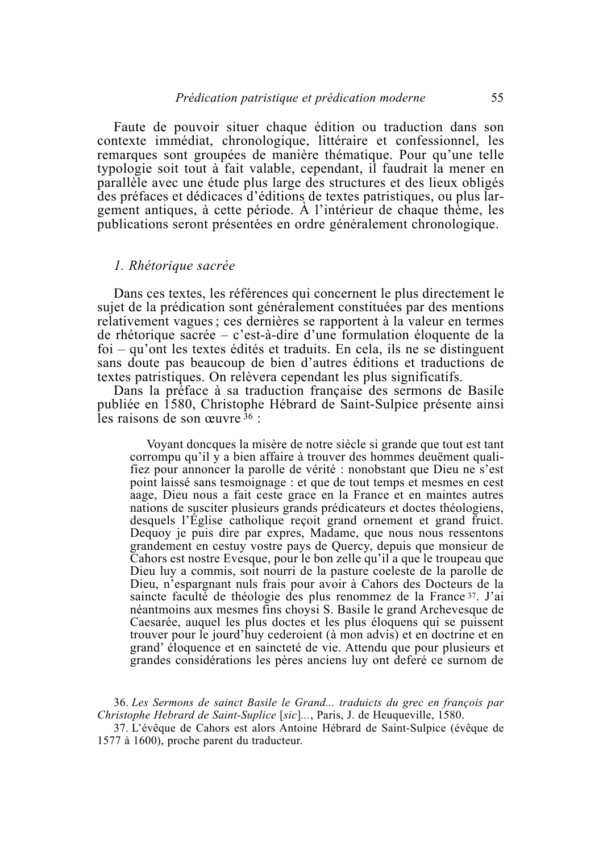Faute de pouvoir situer chaque édition ou traduction dans son contexte immédiat, chronologique, littéraire et confessionnel, les remarques sont groupées de manière thématique. Pour qu'une telle typologie soit tout à fait valable, cependant, il faudrait la mener en parallèle avec une étude plus large des structures et des lieux obligés des préfaces et dédicaces d'éditions de textes patristiques, ou plus largement antiques, à cette période. À l'intérieur de chaque thème, les publications seront présentées en ordre généralement chronologique.

#### 1. Rhétorique sacrée

Dans ces textes, les références qui concernent le plus directement le sujet de la prédication sont généralement constituées par des mentions relativement vagues; ces dernières se rapportent à la valeur en termes de rhétorique sacrée – c'est-à-dire d'une formulation éloquente de la foi – qu'ont les textes édités et traduits. En cela, ils ne se distinguent sans doute pas beaucoup de bien d'autres éditions et traductions de textes patristiques. On relèvera cependant les plus significatifs.

Dans la préface à sa traduction française des sermons de Basile publiée en 1580, Christophe Hébrard de Saint-Sulpice présente ainsi les raisons de son œuvre  $36$ :

Voyant doncques la misère de notre siècle si grande que tout est tant corrompu qu'il y a bien affaire à trouver des hommes deuëment qualifiez pour annoncer la parolle de vérité : nonobstant que Dieu ne s'est point laissé sans tesmoignage : et que de tout temps et mesmes en cest aage. Dieu nous a fait ceste grace en la France et en maintes autres nations de susciter plusieurs grands prédicateurs et doctes théologiens, desquels l'Église catholique reçoit grand ornement et grand fruict. Dequoy je puis dire par expres, Madame, que nous nous ressentons grandement en cestuy vostre pays de Quercy, depuis que monsieur de Cahors est nostre Evesque, pour le bon zelle qu'il a que le troupeau que Dieu luy a commis, soit nourri de la pasture coeleste de la parolle de Dieu, n'espargnant nuls frais pour avoir à Cahors des Docteurs de la saincte faculté de théologie des plus renommez de la France<sup>37</sup>. J'ai néantmoins aux mesmes fins choysi S. Basile le grand Archevesque de Caesarée, auquel les plus doctes et les plus éloquens qui se puissent trouver pour le jourd'huy cederoient (à mon advis) et en doctrine et en grand' éloquence et en saincteté de vie. Attendu que pour plusieurs et grandes considérations les pères anciens luy ont deferé ce surnom de

36. Les Sermons de sainct Basile le Grand... traduicts du grec en françois par Christophe Hebrard de Saint-Suplice [sic]..., Paris, J. de Heuqueville, 1580.

37. L'évêque de Cahors est alors Antoine Hébrard de Saint-Sulpice (évêque de 1577 à 1600), proche parent du traducteur.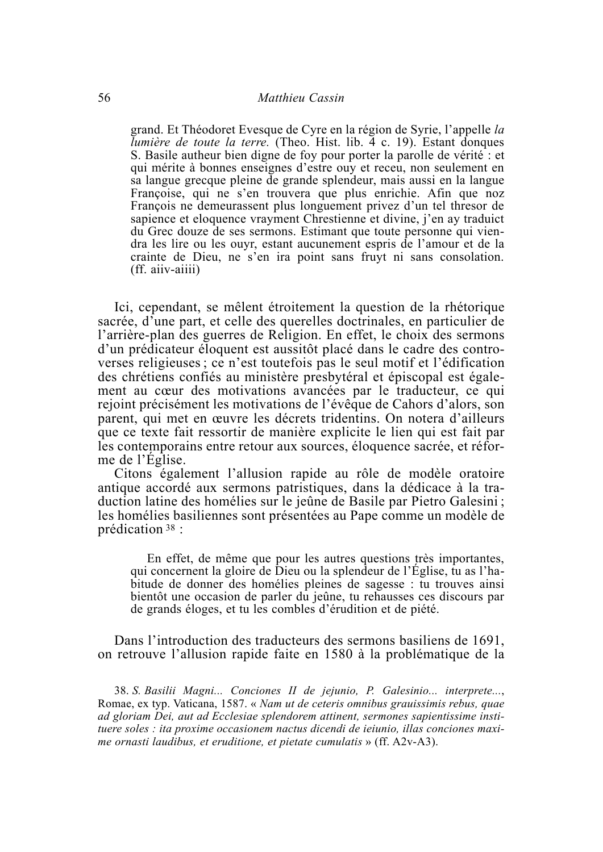grand. Et Théodoret Evesque de Cyre en la région de Syrie, l'appelle la Iumière de toute la terre. (Theo. Hist. lib. 4 c. 19). Estant donques S. Basile autheur bien digne de foy pour porter la parolle de vérité : et qui mérite à bonnes enseignes d'estre ouy et receu, non seulement en sa langue grecque pleine de grande splendeur, mais aussi en la langue Françoise, qui ne s'en trouvera que plus enrichie. Afin que noz François ne demeurassent plus longuement privez d'un tel thresor de sapience et eloquence vrayment Chrestienne et divine, j'en ay traduict du Grec douze de ses sermons. Estimant que toute personne qui viendra les lire ou les ouyr, estant aucunement espris de l'amour et de la crainte de Dieu, ne s'en ira point sans fruyt ni sans consolation.  $(ff. aiiv-aiiii)$ 

Ici, cependant, se mêlent étroitement la question de la rhétorique sacrée, d'une part, et celle des querelles doctrinales, en particulier de l'arrière-plan des guerres de Religion. En effet, le choix des sermons d'un prédicateur éloquent est aussitôt placé dans le cadre des controverses religieuses ; ce n'est toutefois pas le seul motif et l'édification des chrétiens confiés au ministère presbytéral et épiscopal est également au cœur des motivations avancées par le traducteur, ce qui rejoint précisément les motivations de l'évêque de Cahors d'alors, son parent, qui met en œuvre les décrets tridentins. On notera d'ailleurs que ce texte fait ressortir de manière explicite le lien qui est fait par les contemporains entre retour aux sources, éloquence sacrée, et réforme de l'Eglise.

Citons également l'allusion rapide au rôle de modèle oratoire antique accordé aux sermons patristiques, dans la dédicace à la traduction latine des homélies sur le jeûne de Basile par Pietro Galesini; les homélies basiliennes sont présentées au Pape comme un modèle de prédication  $38$ :

En effet, de même que pour les autres questions très importantes, qui concernent la gloire de Dieu ou la splendeur de l'Église, tu as l'habitude de donner des homélies pleines de sagesse : tu trouves ainsi bientôt une occasion de parler du jeûne, tu rehausses ces discours par de grands éloges, et tu les combles d'érudition et de piété.

Dans l'introduction des traducteurs des sermons basiliens de 1691, on retrouve l'allusion rapide faite en 1580 à la problématique de la

38. S. Basilii Magni... Conciones II de jejunio, P. Galesinio... interprete..., Romae, ex typ. Vaticana, 1587, « Nam ut de ceteris omnibus grauissimis rebus, quae ad gloriam Dei, aut ad Ecclesiae splendorem attinent, sermones sapientissime instituere soles : ita proxime occasionem nactus dicendi de ieiunio, illas conciones maxime ornasti laudibus, et eruditione, et pietate cumulatis » (ff.  $A2v-A3$ ).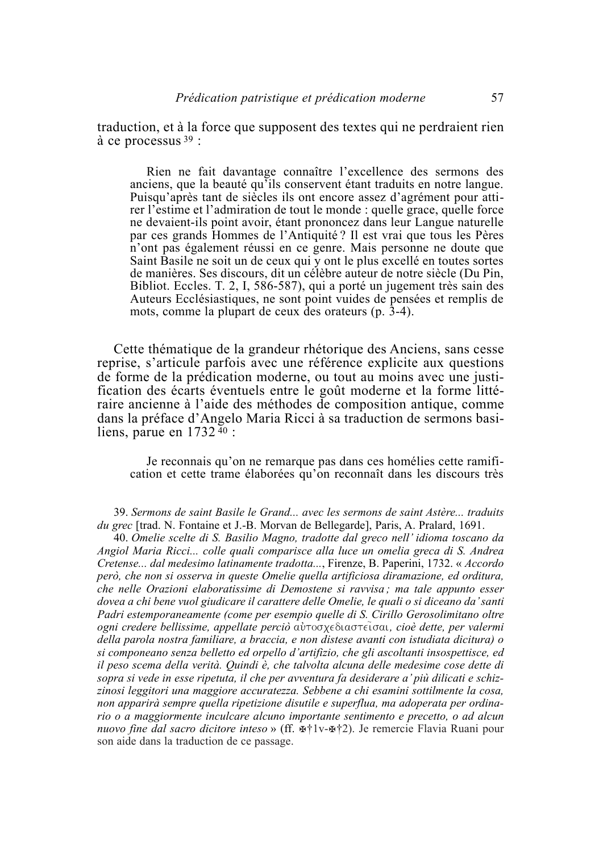traduction, et à la force que supposent des textes qui ne perdraient rien à ce processus  $39$ :

Rien ne fait davantage connaître l'excellence des sermons des anciens, que la beauté qu<sup>7</sup>ils conservent étant traduits en notre langue. Puisqu'après tant de siècles ils ont encore assez d'agrément pour attirer l'estime et l'admiration de tout le monde : quelle grace, quelle force ne devaient-ils point avoir, étant prononcez dans leur Langue naturelle par ces grands Hommes de l'Antiquité? Il est vrai que tous les Pères n'ont pas également réussi en ce genre. Mais personne ne doute que Saint Basile ne soit un de ceux qui y ont le plus excellé en toutes sortes de manières. Ses discours, dit un célèbre auteur de notre siècle (Du Pin, Bibliot. Eccles. T. 2, I, 586-587), qui a porté un jugement très sain des Auteurs Ecclésiastiques, ne sont point vuides de pensées et remplis de mots, comme la plupart de ceux des orateurs (p. 3-4).

Cette thématique de la grandeur rhétorique des Anciens, sans cesse reprise, s'articule parfois avec une référence explicite aux questions de forme de la prédication moderne, ou tout au moins avec une justification des écarts éventuels entre le goût moderne et la forme littéraire ancienne à l'aide des méthodes de composition antique, comme dans la préface d'Angelo Maria Ricci à sa traduction de sermons basiliens, parue en 1732  $\frac{40}{3}$ :

Je reconnais qu'on ne remarque pas dans ces homélies cette ramification et cette trame élaborées qu'on reconnaît dans les discours très

39. Sermons de saint Basile le Grand... avec les sermons de saint Astère... traduits *du grec* [trad. N. Fontaine et J.-B. Morvan de Bellegarde], Paris, A. Pralard, 1691.

40. Omelie scelte di S. Basilio Magno, tradotte dal greco nell'idioma toscano da Angiol Maria Ricci... colle quali comparisce alla luce un omelia greca di S. Andrea Cretense... dal medesimo latinamente tradotta..., Firenze, B. Paperini, 1732. « Accordo però, che non si osserva in queste Omelie quella artificiosa diramazione, ed orditura, che nelle Orazioni elaboratissime di Demostene si ravvisa; ma tale appunto esser dovea a chi bene vuol giudicare il carattere delle Omelie, le quali o si diceano da' santi Padri estemporaneamente (come per esempio quelle di S. Cirillo Gerosolimitano oltre ogni credere bellissime, appellate perciò αυτοσχεδιαστείσαι, cioè dette, per valermi della parola nostra familiare, a braccia, e non distese avanti con istudiata dicitura) o si componeano senza belletto ed orpello d'artifizio, che gli ascoltanti insospettisce, ed il peso scema della verità. Quindi è, che talvolta alcuna delle medesime cose dette di sopra si vede in esse ripetuta, il che per avventura fa desiderare a' più dilicati e schizzinosi leggitori una maggiore accuratezza. Sebbene a chi esamini sottilmente la cosa, non apparirà sempre quella ripetizione disutile e superflua, ma adoperata per ordinario o a maggiormente inculcare alcuno importante sentimento e precetto, o ad alcun nuovo fine dal sacro dicitore inteso » (ff.  $\mathbb{R}^{\dagger}$ lv- $\mathbb{R}^{\dagger}$ 2). Je remercie Flavia Ruani pour son aide dans la traduction de ce passage.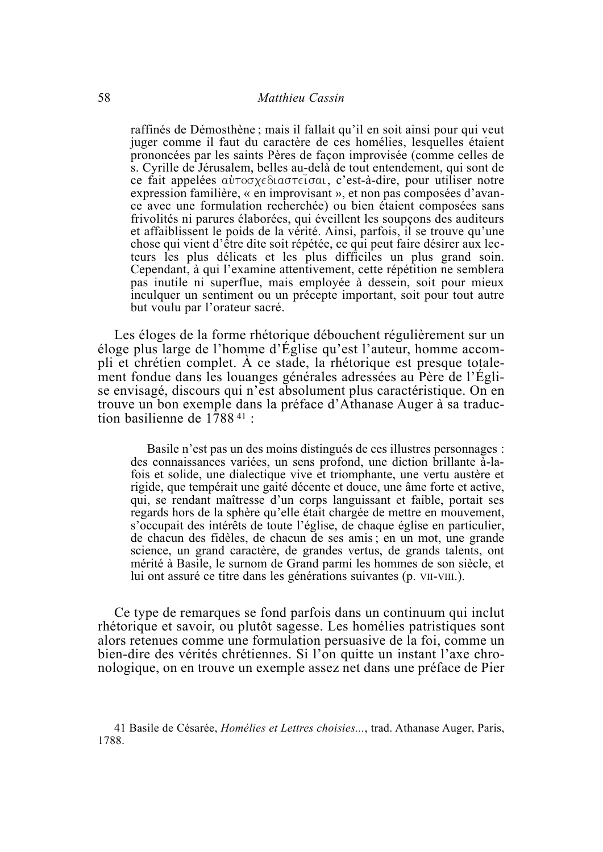raffinés de Démosthène : mais il fallait qu'il en soit ainsi pour qui veut juger comme il faut du caractère de ces homélies, lesquelles étaient prononcées par les saints Pères de façon improvisée (comme celles de s. Cyrille de Jérusalem, belles au-delà de tout entendement, qui sont de ce fait appelées αυτοσχεδιαστείσαι, c'est-à-dire, pour utiliser notre expression familière, « en improvisant », et non pas composées d'avance avec une formulation recherchée) ou bien étaient composées sans frivolités ni parures élaborées, qui éveillent les soupçons des auditeurs et affaiblissent le poids de la vérité. Ainsi, parfois, il se trouve qu'une chose qui vient d'être dite soit répétée, ce qui peut faire désirer aux lecteurs les plus délicats et les plus difficiles un plus grand soin. Cependant, à qui l'examine attentivement, cette répétition ne semblera pas inutile ni superflue, mais employée à dessein, soit pour mieux inculquer un sentiment ou un précepte important, soit pour tout autre but voulu par l'orateur sacré.

Les éloges de la forme rhétorique débouchent régulièrement sur un éloge plus large de l'homme d'Église qu'est l'auteur, homme accompli et chrétien complet. À ce stade, la rhétorique est presque totalement fondue dans les louanges générales adressées au Père de l'Église envisagé, discours qui n'est absolument plus caractéristique. On en trouve un bon exemple dans la préface d'Athanase Auger à sa traduction basilienne de  $1788^{41}$ :

Basile n'est pas un des moins distingués de ces illustres personnages : des connaissances variées, un sens profond, une diction brillante à-lafois et solide, une dialectique vive et triomphante, une vertu austère et rigide, que tempérait une gaité décente et douce, une âme forte et active, qui, se rendant maîtresse d'un corps languissant et faible, portait ses regards hors de la sphère qu'elle était chargée de mettre en mouvement, s'occupait des intérêts de toute l'église, de chaque église en particulier, de chacun des fidèles, de chacun de ses amis; en un mot, une grande science, un grand caractère, de grandes vertus, de grands talents, ont mérité à Basile, le surnom de Grand parmi les hommes de son siècle, et lui ont assuré ce titre dans les générations suivantes (p. VII-VIII.).

Ce type de remarques se fond parfois dans un continuum qui inclut rhétorique et savoir, ou plutôt sagesse. Les homélies patristiques sont alors retenues comme une formulation persuasive de la foi, comme un bien-dire des vérités chrétiennes. Si l'on quitte un instant l'axe chronologique, on en trouve un exemple assez net dans une préface de Pier

<sup>41</sup> Basile de Césarée, *Homélies et Lettres choisies...*, trad. Athanase Auger, Paris, 1788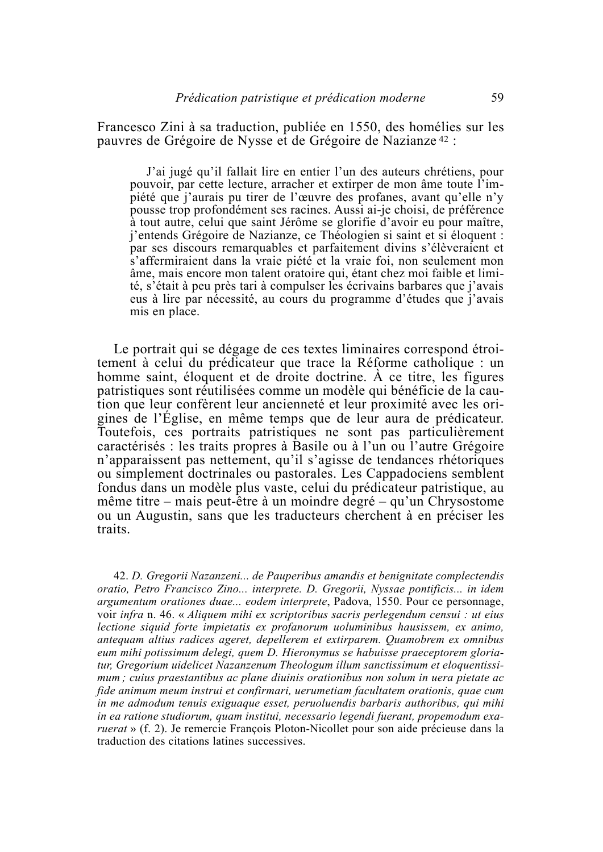Francesco Zini à sa traduction, publiée en 1550, des homélies sur les pauvres de Grégoire de Nysse et de Grégoire de Nazianze<sup>42</sup> :

J'ai jugé qu'il fallait lire en entier l'un des auteurs chrétiens, pour pouvoir, par cette lecture, arracher et extirper de mon âme toute l'impiété que j'aurais pu tirer de l'œuvre des profanes, avant qu'elle n'y pousse trop profondément ses racines. Aussi ai-je choisi, de préférence à tout autre, celui que saint Jérôme se glorifie d'avoir eu pour maître, *i*'entends Grégoire de Nazianze, ce Théologien si saint et si éloquent : par ses discours remarquables et parfaitement divins s'élèveraient et s'affermiraient dans la vraie piété et la vraie foi, non seulement mon âme, mais encore mon talent oratoire qui, étant chez moi faible et limité, s'était à peu près tari à compulser les écrivains barbares que i'avais eus à lire par nécessité, au cours du programme d'études que j'avais mis en place.

Le portrait qui se dégage de ces textes liminaires correspond étroitement à celui du prédicateur que trace la Réforme catholique : un homme saint, éloquent et de droite doctrine. À ce titre, les figures patristiques sont réutilisées comme un modèle qui bénéficie de la caution que leur confèrent leur ancienneté et leur proximité avec les origines de l'Église, en même temps que de leur aura de prédicateur. Toutefois, ces portraits patristiques ne sont pas particulièrement caractérisés : les traits propres à Basile ou à l'un ou l'autre Grégoire n'apparaissent pas nettement, qu'il s'agisse de tendances rhétoriques ou simplement doctrinales ou pastorales. Les Cappadociens semblent fondus dans un modèle plus vaste, celui du prédicateur patristique, au même titre – mais peut-être à un moindre degré – qu'un Chrysostome ou un Augustin, sans que les traducteurs cherchent à en préciser les traits.

42. D. Gregorii Nazanzeni... de Pauperibus amandis et benignitate complectendis oratio, Petro Francisco Zino... interprete. D. Gregorii, Nyssae pontificis... in idem argumentum orationes duae... eodem interprete, Padova, 1550. Pour ce personnage, voir infra n. 46. « Aliquem mihi ex scriptoribus sacris perlegendum censui : ut eius lectione siguid forte impietatis ex profanorum uoluminibus hausissem, ex animo, antequam altius radices ageret, depellerem et extirparem. Quamobrem ex omnibus eum mihi potissimum delegi, quem D. Hieronymus se habuisse praeceptorem gloriatur, Gregorium uidelicet Nazanzenum Theologum illum sanctissimum et eloquentissimum; cuius praestantibus ac plane diuinis orationibus non solum in uera pietate ac fide animum meum instrui et confirmari, uerumetiam facultatem orationis, quae cum in me admodum tenuis exiguague esset, peruoluendis barbaris authoribus, qui mihi in ea ratione studiorum, quam institui, necessario legendi fuerant, propemodum exa*ruerat* » (f. 2). Je remercie François Ploton-Nicollet pour son aide précieuse dans la traduction des citations latines successives.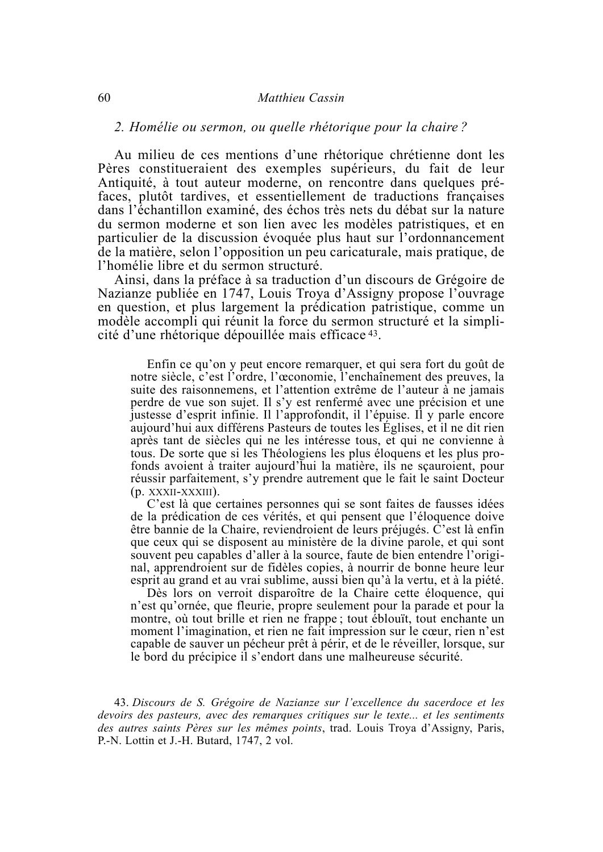#### Matthieu Cassin

#### 2. Homélie ou sermon, ou quelle rhétorique pour la chaire?

Au milieu de ces mentions d'une rhétorique chrétienne dont les Pères constitueraient des exemples supérieurs, du fait de leur Antiquité, à tout auteur moderne, on rencontre dans quelques préfaces, plutôt tardives, et essentiellement de traductions françaises dans l'échantillon examiné, des échos très nets du débat sur la nature du sermon moderne et son lien avec les modèles patristiques, et en particulier de la discussion évoquée plus haut sur l'ordonnancement de la matière, selon l'opposition un peu caricaturale, mais pratique, de l'homélie libre et du sermon structuré.

Ainsi, dans la préface à sa traduction d'un discours de Grégoire de Nazianze publiée en 1747, Louis Troya d'Assigny propose l'ouvrage en question, et plus largement la prédication patristique, comme un modèle accompli qui réunit la force du sermon structuré et la simplicité d'une rhétorique dépouillée mais efficace 43.

Enfin ce qu'on y peut encore remarquer, et qui sera fort du goût de notre siècle, c'est l'ordre, l'œconomie, l'enchaînement des preuves, la suite des raisonnemens, et l'attention extrême de l'auteur à ne jamais perdre de vue son sujet. Il s'y est renfermé avec une précision et une justesse d'esprit infinie. Il l'approfondit, il l'épuise. Il y parle encore aujourd'hui aux différens Pasteurs de toutes les Églises, et il ne dit rien après tant de siècles qui ne les intéresse tous, et qui ne convienne à tous. De sorte que si les Théologiens les plus éloquens et les plus profonds avoient à traiter aujourd'hui la matière, ils ne scauroient, pour réussir parfaitement, s'y prendre autrement que le fait le saint Docteur  $(p. XXXII-XXXIII)$ .

C'est là que certaines personnes qui se sont faites de fausses idées de la prédication de ces vérités, et qui pensent que l'éloquence doive être bannie de la Chaire, reviendroient de leurs préjugés. C'est là enfin que ceux qui se disposent au ministère de la divine parole, et qui sont souvent peu capables d'aller à la source, faute de bien entendre l'original, apprendroient sur de fidèles copies, à nourrir de bonne heure leur esprit au grand et au vrai sublime, aussi bien qu'à la vertu, et à la piété.

Dès lors on verroit disparoître de la Chaire cette éloquence, qui n'est qu'ornée, que fleurie, propre seulement pour la parade et pour la montre, où tout brille et rien ne frappe; tout éblouït, tout enchante un moment l'imagination, et rien ne fait impression sur le cœur, rien n'est capable de sauver un pécheur prêt à périr, et de le réveiller, lorsque, sur le bord du précipice il s'endort dans une malheureuse sécurité.

43. Discours de S. Grégoire de Nazianze sur l'excellence du sacerdoce et les devoirs des pasteurs, avec des remarques critiques sur le texte... et les sentiments des autres saints Pères sur les mêmes points, trad. Louis Troya d'Assigny, Paris, P.-N. Lottin et J.-H. Butard, 1747, 2 vol.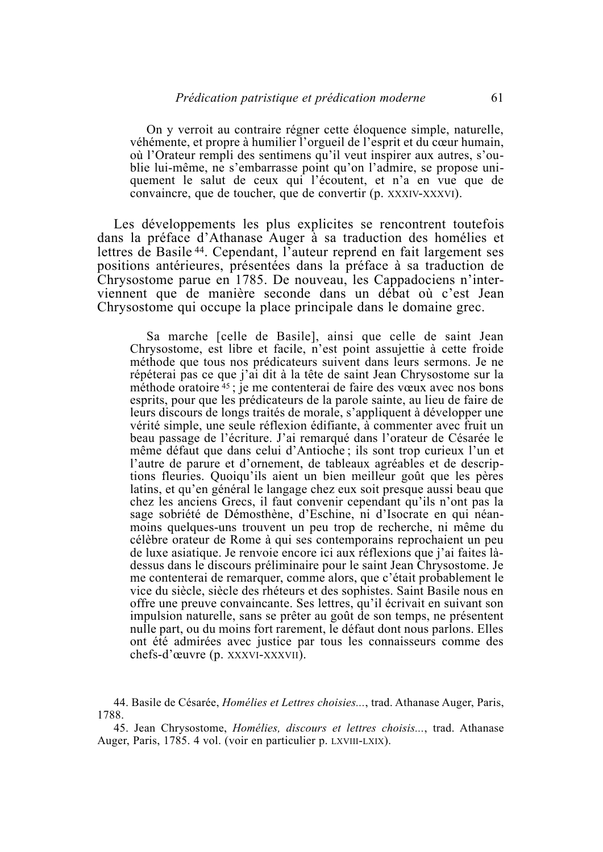On y verroit au contraire régner cette éloquence simple, naturelle, véhémente, et propre à humilier l'orgueil de l'esprit et du cœur humain, où l'Orateur rempli des sentimens qu'il veut inspirer aux autres, s'oublie lui-même, ne s'embarrasse point qu'on l'admire, se propose uniquement le salut de ceux qui l'écoutent, et n'a en vue que de convaincre, que de toucher, que de convertir (p. XXXIV-XXXVI).

Les développements les plus explicites se rencontrent toutefois dans la préface d'Athanase Auger à sa traduction des homélies et lettres de Basile<sup>44</sup>. Cependant, l'auteur reprend en fait largement ses positions antérieures, présentées dans la préface à sa traduction de Chrysostome parue en 1785. De nouveau, les Cappadociens n'interviennent que de manière seconde dans un débat où c'est Jean Chrysostome qui occupe la place principale dans le domaine grec.

Sa marche [celle de Basile], ainsi que celle de saint Jean Chrysostome, est libre et facile, n'est point assujettie à cette froide méthode que tous nos prédicateurs suivent dans leurs sermons. Je ne répéterai pas ce que j'ai dit à la tête de saint Jean Chrysostome sur la méthode oratoire 45; je me contenterai de faire des vœux avec nos bons esprits, pour que les prédicateurs de la parole sainte, au lieu de faire de leurs discours de longs traités de morale, s'appliquent à développer une vérité simple, une seule réflexion édifiante, à commenter avec fruit un beau passage de l'écriture. J'ai remarqué dans l'orateur de Césarée le même défaut que dans celui d'Antioche; ils sont trop curieux l'un et l'autre de parure et d'ornement, de tableaux agréables et de descriptions fleuries. Quoiqu'ils aient un bien meilleur goût que les pères latins, et qu'en général le langage chez eux soit presque aussi beau que chez les anciens Grecs, il faut convenir cependant qu'ils n'ont pas la sage sobriété de Démosthène, d'Eschine, ni d'Isocrate en qui néanmoins quelques-uns trouvent un peu trop de recherche, ni même du célèbre orateur de Rome à qui ses contemporains reprochaient un peu de luxe asiatique. Je renvoie encore ici aux réflexions que j'ai faites làdessus dans le discours préliminaire pour le saint Jean Chrysostome. Je me contenterai de remarquer, comme alors, que c'était probablement le vice du siècle, siècle des rhéteurs et des sophistes. Saint Basile nous en offre une preuve convaincante. Ses lettres, qu'il écrivait en suivant son impulsion naturelle, sans se prêter au goût de son temps, ne présentent nulle part, ou du moins fort rarement, le défaut dont nous parlons. Elles ont été admirées avec justice par tous les connaisseurs comme des chefs-d'œuvre (p. XXXVI-XXXVII).

44. Basile de Césarée, *Homélies et Lettres choisies...*, trad. Athanase Auger, Paris, 1788.

45. Jean Chrysostome, *Homélies, discours et lettres choisis...*, trad. Athanase Auger, Paris, 1785, 4 vol. (voir en particulier p. LXVIII-LXIX).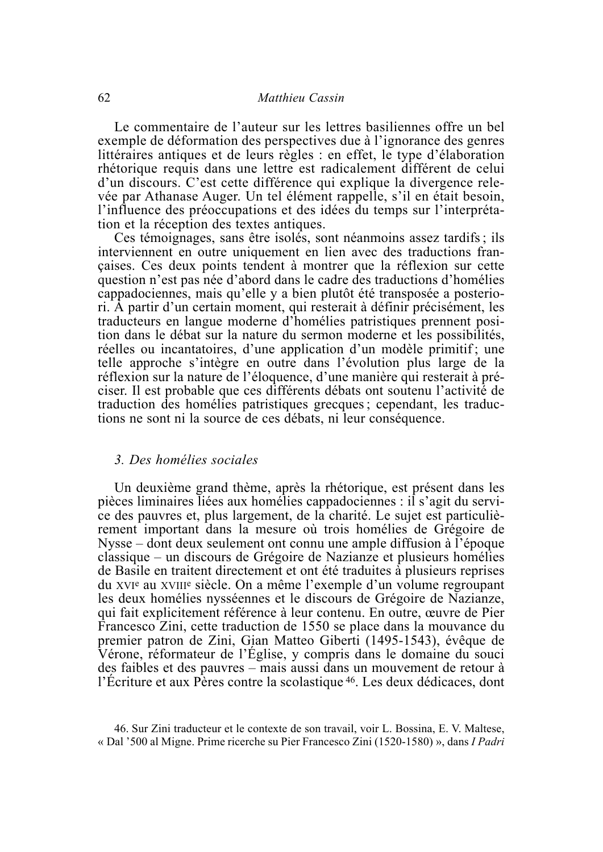Le commentaire de l'auteur sur les lettres basiliennes offre un bel exemple de déformation des perspectives due à l'ignorance des genres littéraires antiques et de leurs règles : en effet, le type d'élaboration rhétorique requis dans une lettre est radicalement différent de celui d'un discours. C'est cette différence qui explique la divergence relevée par Athanase Auger. Un tel élément rappelle, s'il en était besoin, l'influence des préoccupations et des idées du temps sur l'interprétation et la réception des textes antiques.

Ces témoignages, sans être isolés, sont néanmoins assez tardifs; ils interviennent en outre uniquement en lien avec des traductions francaises. Ces deux points tendent à montrer que la réflexion sur cette question n'est pas née d'abord dans le cadre des traductions d'homélies cappadociennes, mais qu'elle y a bien plutôt été transposée a posteriori. À partir d'un certain moment, qui resterait à définir précisément, les traducteurs en langue moderne d'homélies patristiques prennent position dans le débat sur la nature du sermon moderne et les possibilités, réelles ou incantatoires, d'une application d'un modèle primitif; une telle approche s'intègre en outre dans l'évolution plus large de la réflexion sur la nature de l'éloquence, d'une manière qui resterait à préciser. Il est probable que ces différents débats ont soutenu l'activité de traduction des homélies patristiques grecques : cependant, les traductions ne sont ni la source de ces débats, ni leur conséquence.

#### 3. Des homélies sociales

Un deuxième grand thème, après la rhétorique, est présent dans les pièces liminaires liées aux homélies cappadociennes : il s'agit du service des pauvres et, plus largement, de la charité. Le sujet est particulièrement important dans la mesure où trois homélies de Grégoire de Nysse – dont deux seulement ont connu une ample diffusion à l'époque classique – un discours de Grégoire de Nazianze et plusieurs homélies de Basile en traitent directement et ont été traduites à plusieurs reprises du xvie au xville siècle. On a même l'exemple d'un volume regroupant les deux homélies nysséennes et le discours de Grégoire de Nazianze, qui fait explicitement référence à leur contenu. En outre, œuvre de Pier Francesco Zini, cette traduction de 1550 se place dans la mouvance du premier patron de Zini, Gian Matteo Giberti (1495-1543), évêque de Vérone, réformateur de l'Église, y compris dans le domaine du souci des faibles et des pauvres – mais aussi dans un mouvement de retour à l'Écriture et aux Pères contre la scolastique <sup>46</sup>. Les deux dédicaces, dont

<sup>46.</sup> Sur Zini traducteur et le contexte de son travail, voir L. Bossina, E. V. Maltese, « Dal '500 al Migne. Prime ricerche su Pier Francesco Zini (1520-1580) », dans I Padri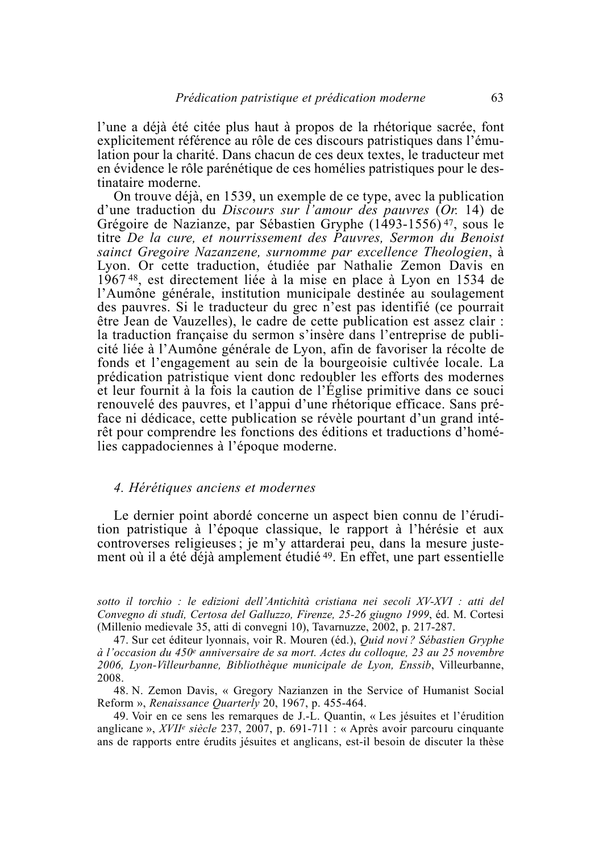l'une a déjà été citée plus haut à propos de la rhétorique sacrée, font explicitement référence au rôle de ces discours patristiques dans l'émulation pour la charité. Dans chacun de ces deux textes, le traducteur met en évidence le rôle parénétique de ces homélies patristiques pour le destinataire moderne.

On trouve déjà, en 1539, un exemple de ce type, avec la publication d'une traduction du Discours sur l'amour des pauvres (Or. 14) de Grégoire de Nazianze, par Sébastien Gryphe (1493-1556)<sup>47</sup>, sous le titre De la cure, et nourrissement des Pauvres, Sermon du Benoist sainct Gregoire Nazanzene, surnomme par excellence Theologien, à Lyon. Or cette traduction, étudiée par Nathalie Zemon Davis en 1967<sup>48</sup>, est directement liée à la mise en place à Lyon en 1534 de l'Aumône générale, institution municipale destinée au soulagement des pauvres. Si le traducteur du grec n'est pas identifié (ce pourrait être Jean de Vauzelles), le cadre de cette publication est assez clair : la traduction française du sermon s'insère dans l'entreprise de publicité liée à l'Aumône générale de Lyon, afin de favoriser la récolte de fonds et l'engagement au sein de la bourgeoisie cultivée locale. La prédication patristique vient donc redoubler les efforts des modernes et leur fournit à la fois la caution de l'Église primitive dans ce souci renouvelé des pauvres, et l'appui d'une rhétorique efficace. Sans préface ni dédicace, cette publication se révèle pourtant d'un grand intérêt pour comprendre les fonctions des éditions et traductions d'homélies cappadociennes à l'époque moderne.

#### 4. Hérétiques anciens et modernes

Le dernier point abordé concerne un aspect bien connu de l'érudition patristique à l'époque classique, le rapport à l'hérésie et aux controverses religieuses; je m'y attarderai peu, dans la mesure justement où il a été déjà amplement étudié<sup>49</sup>. En effet, une part essentielle

sotto il torchio : le edizioni dell'Antichità cristiana nei secoli XV-XVI : atti del Convegno di studi, Certosa del Galluzzo, Firenze, 25-26 giugno 1999, éd. M. Cortesi (Millenio medievale 35, atti di convegni 10), Tavarnuzze, 2002, p. 217-287.

47. Sur cet éditeur lyonnais, voir R. Mouren (éd.), *Quid novi? Sébastien Gryphe* à l'occasion du 450<sup>e</sup> anniversaire de sa mort. Actes du colloque, 23 au 25 novembre 2006, Lyon-Villeurbanne, Bibliothèque municipale de Lyon, Enssib, Villeurbanne, 2008.

48. N. Zemon Davis, « Gregory Nazianzen in the Service of Humanist Social Reform », Renaissance Quarterly 20, 1967, p. 455-464.

49. Voir en ce sens les remarques de J.-L. Quantin, « Les jésuites et l'érudition anglicane »,  $XVII^e$  siècle 237, 2007, p. 691-711 : « Après avoir parcouru cinquante ans de rapports entre érudits jésuites et anglicans, est-il besoin de discuter la thèse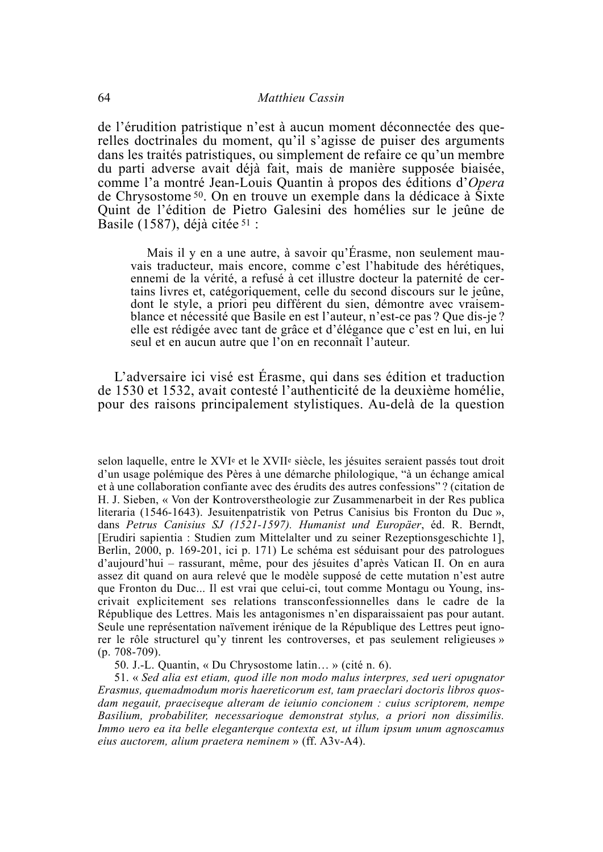de l'érudition patristique n'est à aucun moment déconnectée des querelles doctrinales du moment, qu'il s'agisse de puiser des arguments dans les traités patristiques, ou simplement de refaire ce qu'un membre du parti adverse avait déjà fait, mais de manière supposée biaisée, comme l'a montré Jean-Louis Quantin à propos des éditions d'Opera de Chrysostome<sup>50</sup>. On en trouve un exemple dans la dédicace à Sixte Quint de l'édition de Pietro Galesini des homélies sur le jeûne de Basile (1587), déjà citée  $51$ :

Mais il y en a une autre, à savoir qu'Érasme, non seulement mauvais traducteur, mais encore, comme c'est l'habitude des hérétiques, ennemi de la vérité, a refusé à cet illustre docteur la paternité de certains livres et, catégoriquement, celle du second discours sur le jeûne, dont le style, a priori peu différent du sien, démontre avec vraisemblance et nécessité que Basile en est l'auteur, n'est-ce pas ? Oue dis-je ? elle est rédigée avec tant de grâce et d'élégance que c'est en lui, en lui seul et en aucun autre que l'on en reconnaît l'auteur.

L'adversaire ici visé est Érasme, qui dans ses édition et traduction de 1530 et 1532, avait contesté l'authenticité de la deuxième homélie, pour des raisons principalement stylistiques. Au-delà de la question

selon laquelle, entre le XVI<sup>e</sup> et le XVII<sup>e</sup> siècle, les jésuites seraient passés tout droit d'un usage polémique des Pères à une démarche philologique, "à un échange amical et à une collaboration confiante avec des érudits des autres confessions"? (citation de H. J. Sieben, « Von der Kontroverstheologie zur Zusammenarbeit in der Res publica literaria (1546-1643). Jesuitenpatristik von Petrus Canisius bis Fronton du Duc », dans Petrus Canisius SJ (1521-1597). Humanist und Europäer, éd. R. Berndt, [Erudiri sapientia : Studien zum Mittelalter und zu seiner Rezeptionsgeschichte 1], Berlin, 2000, p. 169-201, ici p. 171) Le schéma est séduisant pour des patrologues d'aujourd'hui – rassurant, même, pour des jésuites d'après Vatican II. On en aura assez dit quand on aura relevé que le modèle supposé de cette mutation n'est autre que Fronton du Duc... Il est vrai que celui-ci, tout comme Montagu ou Young, inscrivait explicitement ses relations transconfessionnelles dans le cadre de la République des Lettres. Mais les antagonismes n'en disparaissaient pas pour autant. Seule une représentation naivement irénique de la République des Lettres peut ignorer le rôle structurel qu'y tinrent les controverses, et pas seulement religieuses »  $(p. 708-709)$ .

50. J.-L. Quantin, « Du Chrysostome latin... » (cité n. 6).

51. « Sed alia est etiam, quod ille non modo malus interpres, sed ueri opugnator Erasmus, quemadmodum moris haereticorum est, tam praeclari doctoris libros quosdam negauit, praeciseque alteram de ieiunio concionem : cuius scriptorem, nempe Basilium, probabiliter, necessarioque demonstrat stylus, a priori non dissimilis. Immo uero ea ita belle eleganterque contexta est, ut illum ipsum unum agnoscamus eius auctorem, alium praetera neminem » (ff. A3v-A4).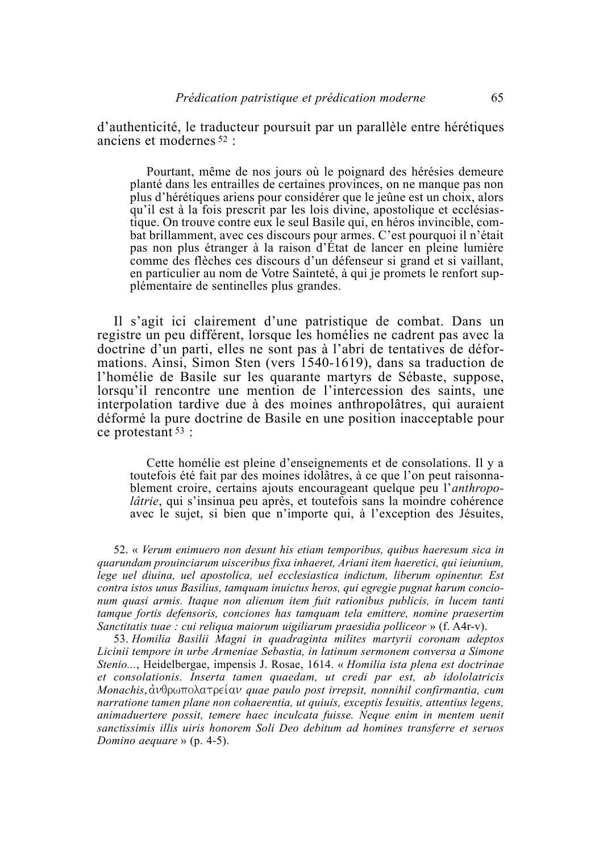d'authenticité, le traducteur poursuit par un parallèle entre hérétiques anciens et modernes<sup>52</sup>:

Pourtant, même de nos jours où le poignard des hérésies demeure planté dans les entrailles de certaines provinces, on ne manque pas non plus d'hérétiques ariens pour considérer que le jeûne est un choix, alors qu'il est à la fois prescrit par les lois divine, apostolique et ecclésiastique. On trouve contre eux le seul Basile qui, en héros invincible, combat brillamment, avec ces discours pour armes. C'est pourquoi il n'était pas non plus étranger à la raison d'État de lancer en pleine lumière comme des flèches ces discours d'un défenseur si grand et si vaillant. en particulier au nom de Votre Sainteté, à qui je promets le renfort supplémentaire de sentinelles plus grandes.

Il s'agit ici clairement d'une patristique de combat. Dans un registre un peu différent, lorsque les homélies ne cadrent pas avec la doctrine d'un parti, elles ne sont pas à l'abri de tentatives de déformations. Ainsi, Simon Sten (vers 1540-1619), dans sa traduction de l'homélie de Basile sur les quarante martyrs de Sébaste, suppose, lorsqu'il rencontre une mention de l'intercession des saints, une interpolation tardive due à des moines anthropolâtres, qui auraient déformé la pure doctrine de Basile en une position inacceptable pour ce protestant  $53$ :

Cette homélie est pleine d'enseignements et de consolations. Il y a toutefois été fait par des moines idolâtres, à ce que l'on peut raisonnablement croire, certains ajouts encourageant quelque peu l'anthropo*lâtrie*, qui s'insinua peu après, et toutefois sans la moindre cohérence avec le sujet, si bien que n'importe qui, à l'exception des Jésuites,

52. « Verum enimuero non desunt his etiam temporibus, quibus haeresum sica in quarundam prouinciarum uisceribus fixa inhaeret, Ariani item haeretici, qui ieiunium, lege uel diuina, uel apostolica, uel ecclesiastica indictum, liberum opinentur. Est contra istos unus Basilius, tamquam inuictus heros, qui egregie pugnat harum concionum quasi armis. Itaque non alienum item fuit rationibus publicis, in lucem tanti tamque fortis defensoris, conciones has tamquam tela emittere, nomine praesertim Sanctitatis tuae : cui reliqua maiorum uigiliarum praesidia polliceor » (f. A4r-v).

53. Homilia Basilii Magni in quadraginta milites martyrii coronam adeptos Licinii tempore in urbe Armeniae Sebastia, in latinum sermonem conversa a Simone Stenio..., Heidelbergae, impensis J. Rosae, 1614. « Homilia ista plena est doctrinae et consolationis. Inserta tamen quaedam, ut credi par est, ab idololatricis Monachis, ανθρωπολατρείαν quae paulo post irrepsit, nonnihil confirmantia, cum narratione tamen plane non cohaerentia, ut quiuis, exceptis Iesuitis, attentius legens, animaduertere possit, temere haec inculcata fuisse. Neaue enim in mentem uenit sanctissimis illis uiris honorem Soli Deo debitum ad homines transferre et seruos Domino aequare »  $(p. 4-5)$ .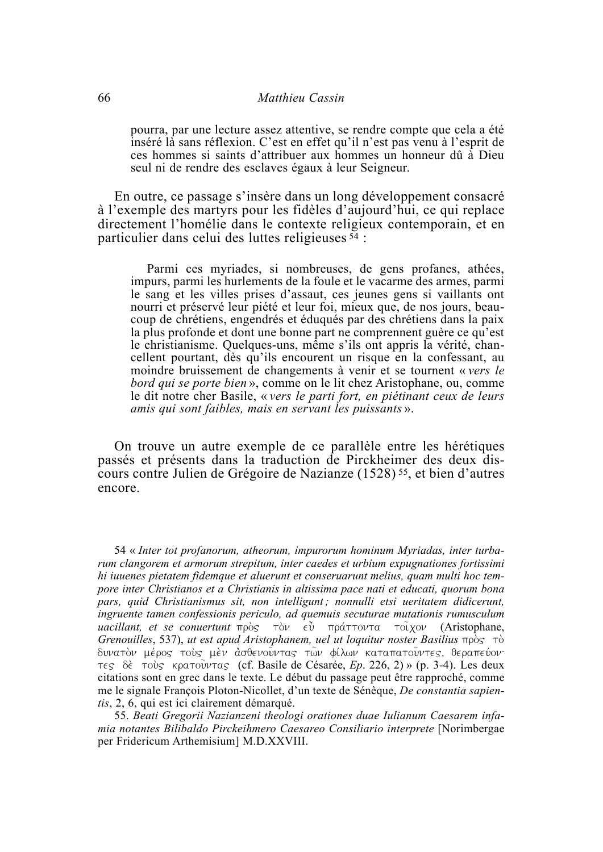#### Matthieu Cassin

pourra, par une lecture assez attentive, se rendre compte que cela a été inséré là sans réflexion. C'est en effet qu'il n'est pas venu à l'esprit de ces hommes si saints d'attribuer aux hommes un honneur dû à Dieu seul ni de rendre des esclaves égaux à leur Seigneur.

En outre, ce passage s'insère dans un long développement consacré à l'exemple des martyrs pour les fidèles d'aujourd'hui, ce qui replace directement l'homélie dans le contexte religieux contemporain, et en particulier dans celui des luttes religieuses  $54$ :

Parmi ces myriades, si nombreuses, de gens profanes, athées, impurs, parmi les hurlements de la foule et le vacarme des armes, parmi le sang et les villes prises d'assaut, ces jeunes gens si vaillants ont nourri et préservé leur piété et leur foi, mieux que, de nos jours, beaucoup de chrétiens, engendrés et éduqués par des chrétiens dans la paix la plus profonde et dont une bonne part ne comprennent guère ce qu'est le christianisme. Quelques-uns, même s'ils ont appris la vérité, chancellent pourtant, dès qu'ils encourent un risque en la confessant, au moindre bruissement de changements à venir et se tournent « vers le bord qui se porte bien », comme on le lit chez Aristophane, ou, comme le dit notre cher Basile, « vers le parti fort, en piétinant ceux de leurs amis qui sont faibles, mais en servant les puissants ».

On trouve un autre exemple de ce parallèle entre les hérétiques passés et présents dans la traduction de Pirckheimer des deux discours contre Julien de Grégoire de Nazianze (1528)<sup>55</sup>, et bien d'autres encore.

54 « Inter tot profanorum, atheorum, impurorum hominum Myriadas, inter turbarum clangorem et armorum strepitum, inter caedes et urbium expugnationes fortissimi hi iuuenes pietatem fidemque et aluerunt et conseruarunt melius, quam multi hoc tempore inter Christianos et a Christianis in altissima pace nati et educati, quorum bona pars, quid Christianismus sit, non intelligunt; nonnulli etsi ueritatem didicerunt, ingruente tamen confessionis periculo, ad quemuis secuturae mutationis rumusculum uacillant, et se convertunt  $\pi \rho \dot{\delta}$   $\vec{\delta}$   $\vec{\epsilon}$   $\psi$   $\pi \rho \dot{\alpha} \tau \tau \dot{\delta} \nu$   $\tau \ddot{\delta} \dot{\chi}$  (Aristophane, Grenouilles, 537), ut est apud Aristophanem, uel ut loquitur noster Basilius  $\pi \rho \dot{\delta}$   $\tau \dot{\delta}$ δυνατόν μέρος τούς μέν ασθενούντας των φίλων καταπατούντες, θεραπεύον τες δέ τούς κρατούντας (cf. Basile de Césarée, Ep. 226, 2) » (p. 3-4). Les deux citations sont en grec dans le texte. Le début du passage peut être rapproché, comme me le signale François Ploton-Nicollet, d'un texte de Sénèque, De constantia sapientis, 2, 6, qui est ici clairement démarqué.

55. Beati Gregorii Nazianzeni theologi orationes duae Iulianum Caesarem infamia notantes Bilibaldo Pirckeihmero Caesareo Consiliario interprete [Norimbergae] per Fridericum Arthemisium] M.D.XXVIII.